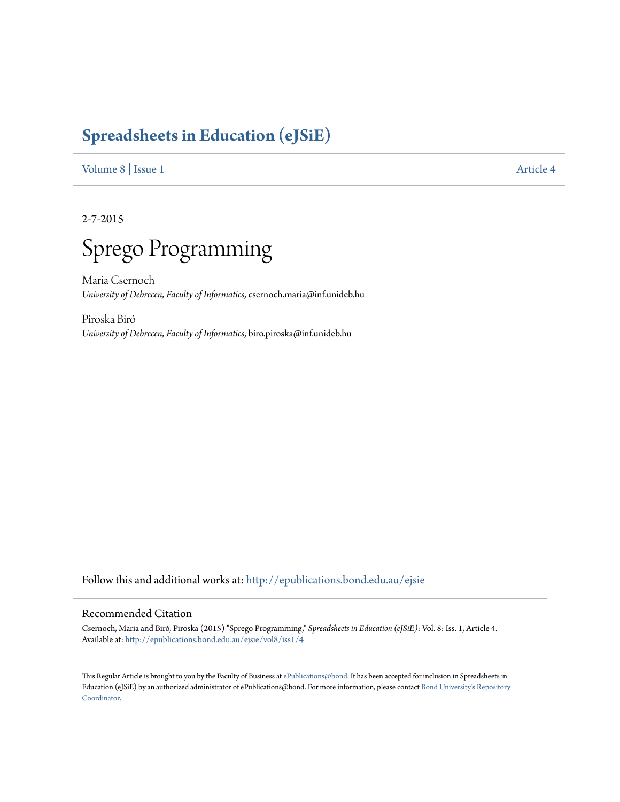# **[Spreadsheets in Education \(eJSiE\)](http://epublications.bond.edu.au/ejsie?utm_source=epublications.bond.edu.au%2Fejsie%2Fvol8%2Fiss1%2F4&utm_medium=PDF&utm_campaign=PDFCoverPages)**

[Volume 8](http://epublications.bond.edu.au/ejsie/vol8?utm_source=epublications.bond.edu.au%2Fejsie%2Fvol8%2Fiss1%2F4&utm_medium=PDF&utm_campaign=PDFCoverPages) | [Issue 1](http://epublications.bond.edu.au/ejsie/vol8/iss1?utm_source=epublications.bond.edu.au%2Fejsie%2Fvol8%2Fiss1%2F4&utm_medium=PDF&utm_campaign=PDFCoverPages) [Article 4](http://epublications.bond.edu.au/ejsie/vol8/iss1/4?utm_source=epublications.bond.edu.au%2Fejsie%2Fvol8%2Fiss1%2F4&utm_medium=PDF&utm_campaign=PDFCoverPages)

2-7-2015



Maria Csernoch *University of Debrecen, Faculty of Informatics*, csernoch.maria@inf.unideb.hu

Piroska Biró *University of Debrecen, Faculty of Informatics*, biro.piroska@inf.unideb.hu

Follow this and additional works at: [htp://epublications.bond.edu.au/ejsie](http://epublications.bond.edu.au/ejsie?utm_source=epublications.bond.edu.au%2Fejsie%2Fvol8%2Fiss1%2F4&utm_medium=PDF&utm_campaign=PDFCoverPages)

#### Recommended Citation

Csernoch, Maria and Biró, Piroska (2015) "Sprego Programming," *Spreadsheets in Education (eJSiE)*: Vol. 8: Iss. 1, Article 4. Available at: [htp://epublications.bond.edu.au/ejsie/vol8/iss1/4](http://epublications.bond.edu.au/ejsie/vol8/iss1/4?utm_source=epublications.bond.edu.au%2Fejsie%2Fvol8%2Fiss1%2F4&utm_medium=PDF&utm_campaign=PDFCoverPages)

his Regular Article is brought to you by the Faculty of Business at [ePublications@bond](http://epublications.bond.edu.au). It has been accepted for inclusion in Spreadsheets in Education (eJSiE) by an authorized administrator of ePublications@bond. For more information, please contact [Bond University's Repository](mailto:acass@bond.edu.au) [Coordinator](mailto:acass@bond.edu.au).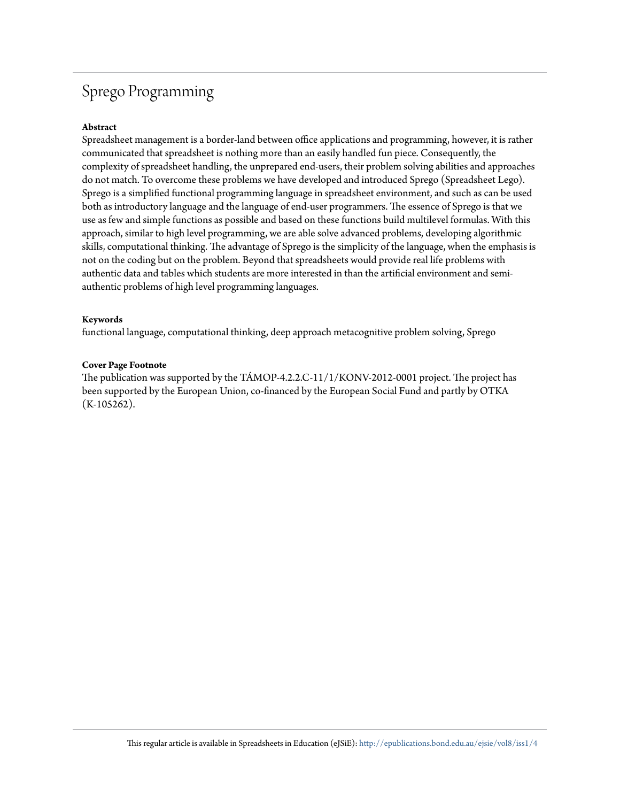# Sprego Programming

#### **Abstract**

Spreadsheet management is a border-land between office applications and programming, however, it is rather communicated that spreadsheet is nothing more than an easily handled fun piece. Consequently, the complexity of spreadsheet handling, the unprepared end-users, their problem solving abilities and approaches do not match. To overcome these problems we have developed and introduced Sprego (Spreadsheet Lego). Sprego is a simpliied functional programming language in spreadsheet environment, and such as can be used both as introductory language and the language of end-user programmers. The essence of Sprego is that we use as few and simple functions as possible and based on these functions build multilevel formulas. With this approach, similar to high level programming, we are able solve advanced problems, developing algorithmic skills, computational thinking. The advantage of Sprego is the simplicity of the language, when the emphasis is not on the coding but on the problem. Beyond that spreadsheets would provide real life problems with authentic data and tables which students are more interested in than the artificial environment and semiauthentic problems of high level programming languages.

#### **Keywords**

functional language, computational thinking, deep approach metacognitive problem solving, Sprego

#### **Cover Page Footnote**

The publication was supported by the TÁMOP-4.2.2.C-11/1/KONV-2012-0001 project. The project has been supported by the European Union, co-financed by the European Social Fund and partly by OTKA  $(K-105262)$ .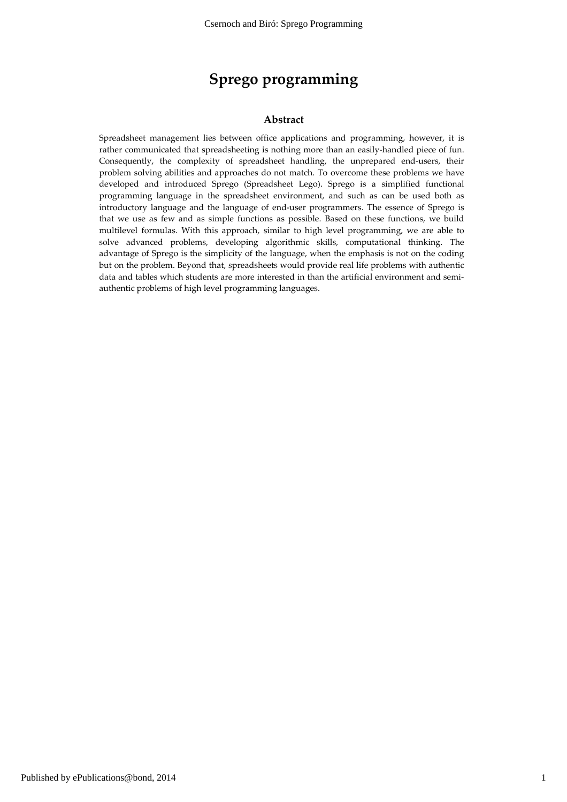# Sprego programming

#### Abstract

Spreadsheet management lies between office applications and programming, however, it is rather communicated that spreadsheeting is nothing more than an easily-handled piece of fun. Consequently, the complexity of spreadsheet handling, the unprepared end-users, their problem solving abilities and approaches do not match. To overcome these problems we have developed and introduced Sprego (Spreadsheet Lego). Sprego is a simplified functional programming language in the spreadsheet environment, and such as can be used both as introductory language and the language of end-user programmers. The essence of Sprego is that we use as few and as simple functions as possible. Based on these functions, we build multilevel formulas. With this approach, similar to high level programming, we are able to solve advanced problems, developing algorithmic skills, computational thinking. The advantage of Sprego is the simplicity of the language, when the emphasis is not on the coding but on the problem. Beyond that, spreadsheets would provide real life problems with authentic data and tables which students are more interested in than the artificial environment and semiauthentic problems of high level programming languages.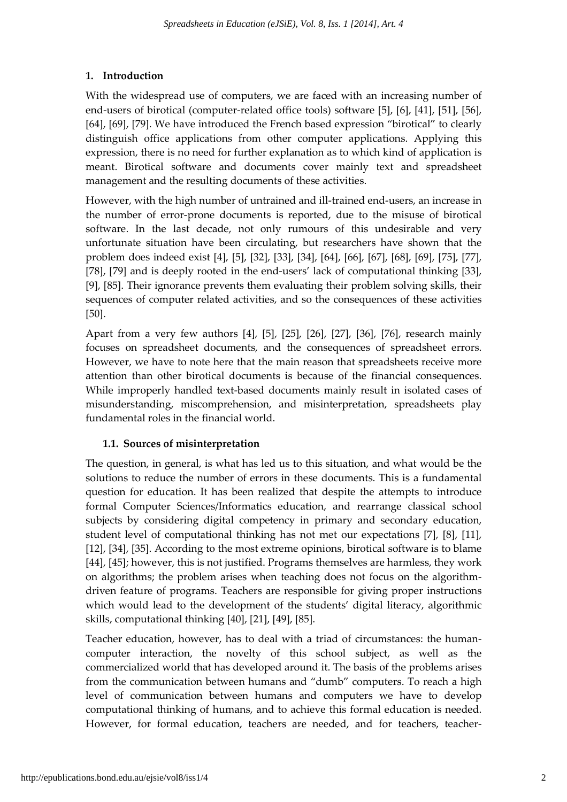# 1. Introduction

With the widespread use of computers, we are faced with an increasing number of end-users of birotical (computer-related office tools) software [5], [6], [41], [51], [56], [64], [69], [79]. We have introduced the French based expression "birotical" to clearly distinguish office applications from other computer applications. Applying this expression, there is no need for further explanation as to which kind of application is meant. Birotical software and documents cover mainly text and spreadsheet management and the resulting documents of these activities.

However, with the high number of untrained and ill-trained end-users, an increase in the number of error-prone documents is reported, due to the misuse of birotical software. In the last decade, not only rumours of this undesirable and very unfortunate situation have been circulating, but researchers have shown that the problem does indeed exist [4], [5], [32], [33], [34], [64], [66], [67], [68], [69], [75], [77], [78], [79] and is deeply rooted in the end-users' lack of computational thinking [33], [9], [85]. Their ignorance prevents them evaluating their problem solving skills, their sequences of computer related activities, and so the consequences of these activities [50].

Apart from a very few authors [4], [5], [25], [26], [27], [36], [76], research mainly focuses on spreadsheet documents, and the consequences of spreadsheet errors. However, we have to note here that the main reason that spreadsheets receive more attention than other birotical documents is because of the financial consequences. While improperly handled text-based documents mainly result in isolated cases of misunderstanding, miscomprehension, and misinterpretation, spreadsheets play fundamental roles in the financial world.

# 1.1. Sources of misinterpretation

The question, in general, is what has led us to this situation, and what would be the solutions to reduce the number of errors in these documents. This is a fundamental question for education. It has been realized that despite the attempts to introduce formal Computer Sciences/Informatics education, and rearrange classical school subjects by considering digital competency in primary and secondary education, student level of computational thinking has not met our expectations [7], [8], [11], [12], [34], [35]. According to the most extreme opinions, birotical software is to blame [44], [45]; however, this is not justified. Programs themselves are harmless, they work on algorithms; the problem arises when teaching does not focus on the algorithmdriven feature of programs. Teachers are responsible for giving proper instructions which would lead to the development of the students' digital literacy, algorithmic skills, computational thinking [40], [21], [49], [85].

Teacher education, however, has to deal with a triad of circumstances: the humancomputer interaction, the novelty of this school subject, as well as the commercialized world that has developed around it. The basis of the problems arises from the communication between humans and "dumb" computers. To reach a high level of communication between humans and computers we have to develop computational thinking of humans, and to achieve this formal education is needed. However, for formal education, teachers are needed, and for teachers, teacher-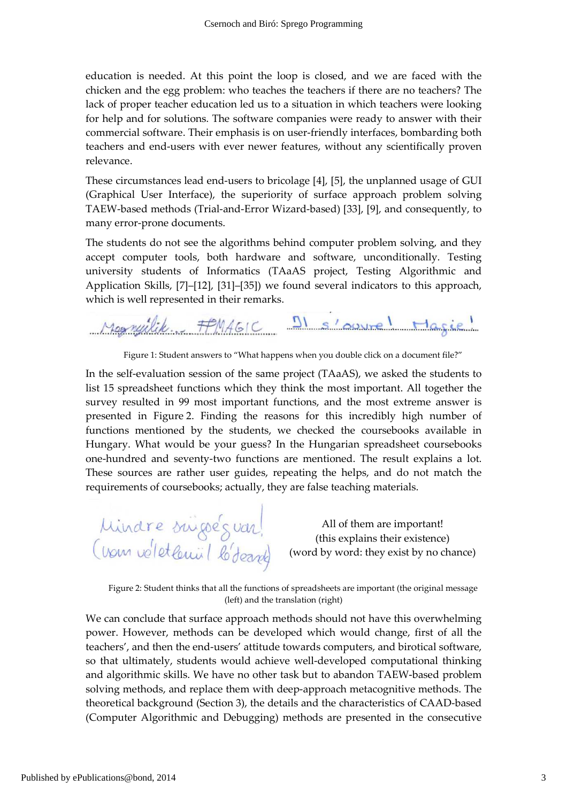education is needed. At this point the loop is closed, and we are faced with the chicken and the egg problem: who teaches the teachers if there are no teachers? The lack of proper teacher education led us to a situation in which teachers were looking for help and for solutions. The software companies were ready to answer with their commercial software. Their emphasis is on user-friendly interfaces, bombarding both teachers and end-users with ever newer features, without any scientifically proven relevance.

These circumstances lead end-users to bricolage [4], [5], the unplanned usage of GUI (Graphical User Interface), the superiority of surface approach problem solving TAEW-based methods (Trial-and-Error Wizard-based) [33], [9], and consequently, to many error-prone documents.

The students do not see the algorithms behind computer problem solving, and they accept computer tools, both hardware and software, unconditionally. Testing university students of Informatics (TAaAS project, Testing Algorithmic and Application Skills, [7]–[12], [31]–[35]) we found several indicators to this approach, which is well represented in their remarks.

Morryilik. FPMAGIC DI s'ouvre! Magie!

Figure 1: Student answers to "What happens when you double click on a document file?"

In the self-evaluation session of the same project (TAaAS), we asked the students to list 15 spreadsheet functions which they think the most important. All together the survey resulted in 99 most important functions, and the most extreme answer is presented in Figure 2. Finding the reasons for this incredibly high number of functions mentioned by the students, we checked the coursebooks available in Hungary. What would be your guess? In the Hungarian spreadsheet coursebooks one-hundred and seventy-two functions are mentioned. The result explains a lot. These sources are rather user guides, repeating the helps, and do not match the requirements of coursebooks; actually, they are false teaching materials.

Mindre suigeEs var!<br>(vom voletlemiil lobeant)

All of them are important! (this explains their existence) (word by word: they exist by no chance)

Figure 2: Student thinks that all the functions of spreadsheets are important (the original message (left) and the translation (right)

We can conclude that surface approach methods should not have this overwhelming power. However, methods can be developed which would change, first of all the teachers', and then the end-users' attitude towards computers, and birotical software, so that ultimately, students would achieve well-developed computational thinking and algorithmic skills. We have no other task but to abandon TAEW-based problem solving methods, and replace them with deep-approach metacognitive methods. The theoretical background (Section 3), the details and the characteristics of CAAD-based (Computer Algorithmic and Debugging) methods are presented in the consecutive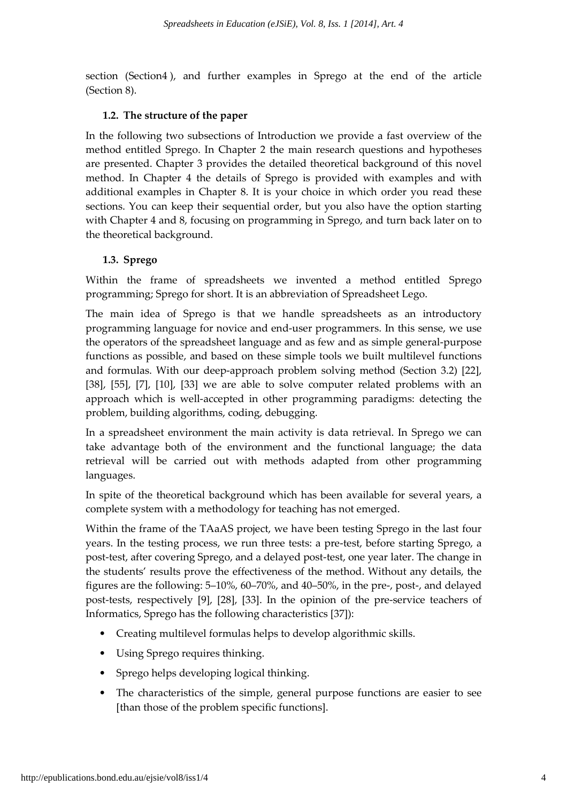section (Section4 ), and further examples in Sprego at the end of the article (Section 8).

#### 1.2. The structure of the paper

In the following two subsections of Introduction we provide a fast overview of the method entitled Sprego. In Chapter 2 the main research questions and hypotheses are presented. Chapter 3 provides the detailed theoretical background of this novel method. In Chapter 4 the details of Sprego is provided with examples and with additional examples in Chapter 8. It is your choice in which order you read these sections. You can keep their sequential order, but you also have the option starting with Chapter 4 and 8, focusing on programming in Sprego, and turn back later on to the theoretical background.

### 1.3. Sprego

Within the frame of spreadsheets we invented a method entitled Sprego programming; Sprego for short. It is an abbreviation of Spreadsheet Lego.

The main idea of Sprego is that we handle spreadsheets as an introductory programming language for novice and end-user programmers. In this sense, we use the operators of the spreadsheet language and as few and as simple general-purpose functions as possible, and based on these simple tools we built multilevel functions and formulas. With our deep-approach problem solving method (Section 3.2) [22], [38], [55], [7], [10], [33] we are able to solve computer related problems with an approach which is well-accepted in other programming paradigms: detecting the problem, building algorithms, coding, debugging.

In a spreadsheet environment the main activity is data retrieval. In Sprego we can take advantage both of the environment and the functional language; the data retrieval will be carried out with methods adapted from other programming languages.

In spite of the theoretical background which has been available for several years, a complete system with a methodology for teaching has not emerged.

Within the frame of the TAaAS project, we have been testing Sprego in the last four years. In the testing process, we run three tests: a pre-test, before starting Sprego, a post-test, after covering Sprego, and a delayed post-test, one year later. The change in the students' results prove the effectiveness of the method. Without any details, the figures are the following: 5–10%, 60–70%, and 40–50%, in the pre-, post-, and delayed post-tests, respectively [9], [28], [33]. In the opinion of the pre-service teachers of Informatics, Sprego has the following characteristics [37]):

- Creating multilevel formulas helps to develop algorithmic skills.
- Using Sprego requires thinking.
- Sprego helps developing logical thinking.
- The characteristics of the simple, general purpose functions are easier to see [than those of the problem specific functions].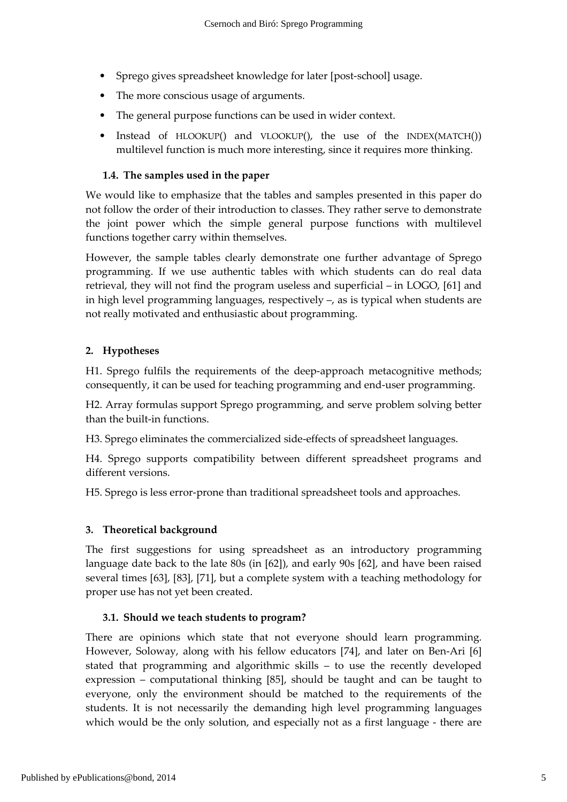- Sprego gives spreadsheet knowledge for later [post-school] usage.
- The more conscious usage of arguments.
- The general purpose functions can be used in wider context.
- Instead of HLOOKUP() and VLOOKUP(), the use of the INDEX(MATCH()) multilevel function is much more interesting, since it requires more thinking.

## 1.4. The samples used in the paper

We would like to emphasize that the tables and samples presented in this paper do not follow the order of their introduction to classes. They rather serve to demonstrate the joint power which the simple general purpose functions with multilevel functions together carry within themselves.

However, the sample tables clearly demonstrate one further advantage of Sprego programming. If we use authentic tables with which students can do real data retrieval, they will not find the program useless and superficial – in LOGO, [61] and in high level programming languages, respectively –, as is typical when students are not really motivated and enthusiastic about programming.

## 2. Hypotheses

H1. Sprego fulfils the requirements of the deep-approach metacognitive methods; consequently, it can be used for teaching programming and end-user programming.

H2. Array formulas support Sprego programming, and serve problem solving better than the built-in functions.

H3. Sprego eliminates the commercialized side-effects of spreadsheet languages.

H4. Sprego supports compatibility between different spreadsheet programs and different versions.

H5. Sprego is less error-prone than traditional spreadsheet tools and approaches.

### 3. Theoretical background

The first suggestions for using spreadsheet as an introductory programming language date back to the late 80s (in [62]), and early 90s [62], and have been raised several times [63], [83], [71], but a complete system with a teaching methodology for proper use has not yet been created.

# 3.1. Should we teach students to program?

There are opinions which state that not everyone should learn programming. However, Soloway, along with his fellow educators [74], and later on Ben-Ari [6] stated that programming and algorithmic skills – to use the recently developed expression – computational thinking [85], should be taught and can be taught to everyone, only the environment should be matched to the requirements of the students. It is not necessarily the demanding high level programming languages which would be the only solution, and especially not as a first language - there are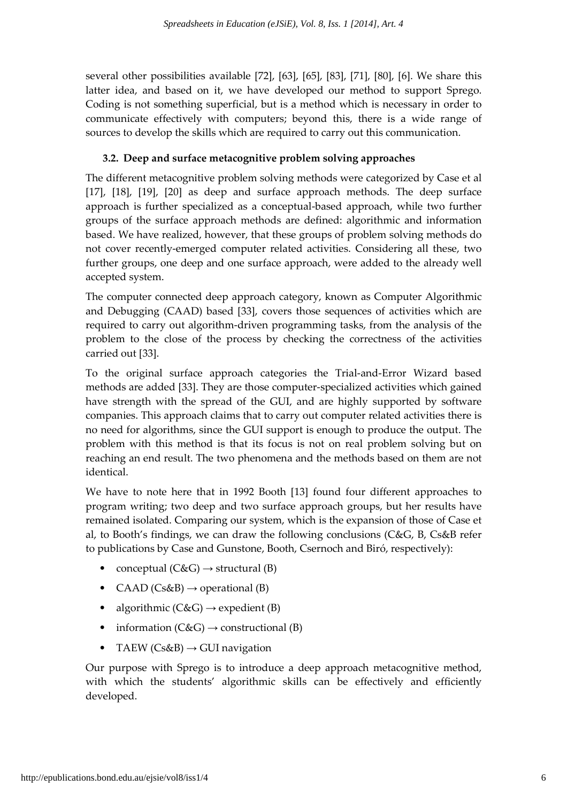several other possibilities available [72], [63], [65], [83], [71], [80], [6]. We share this latter idea, and based on it, we have developed our method to support Sprego. Coding is not something superficial, but is a method which is necessary in order to communicate effectively with computers; beyond this, there is a wide range of sources to develop the skills which are required to carry out this communication.

# 3.2. Deep and surface metacognitive problem solving approaches

The different metacognitive problem solving methods were categorized by Case et al [17], [18], [19], [20] as deep and surface approach methods. The deep surface approach is further specialized as a conceptual-based approach, while two further groups of the surface approach methods are defined: algorithmic and information based. We have realized, however, that these groups of problem solving methods do not cover recently-emerged computer related activities. Considering all these, two further groups, one deep and one surface approach, were added to the already well accepted system.

The computer connected deep approach category, known as Computer Algorithmic and Debugging (CAAD) based [33], covers those sequences of activities which are required to carry out algorithm-driven programming tasks, from the analysis of the problem to the close of the process by checking the correctness of the activities carried out [33].

To the original surface approach categories the Trial-and-Error Wizard based methods are added [33]. They are those computer-specialized activities which gained have strength with the spread of the GUI, and are highly supported by software companies. This approach claims that to carry out computer related activities there is no need for algorithms, since the GUI support is enough to produce the output. The problem with this method is that its focus is not on real problem solving but on reaching an end result. The two phenomena and the methods based on them are not identical.

We have to note here that in 1992 Booth [13] found four different approaches to program writing; two deep and two surface approach groups, but her results have remained isolated. Comparing our system, which is the expansion of those of Case et al, to Booth's findings, we can draw the following conclusions (C&G, B, Cs&B refer to publications by Case and Gunstone, Booth, Csernoch and Biró, respectively):

- conceptual  $(C \& G) \rightarrow$  structural  $(B)$
- CAAD (Cs&B)  $\rightarrow$  operational (B)
- algorithmic  $(C&G) \rightarrow \text{expectient (B)}$
- information  $(C \& G) \rightarrow$  constructional (B)
- TAEW (Cs&B)  $\rightarrow$  GUI navigation

Our purpose with Sprego is to introduce a deep approach metacognitive method, with which the students' algorithmic skills can be effectively and efficiently developed.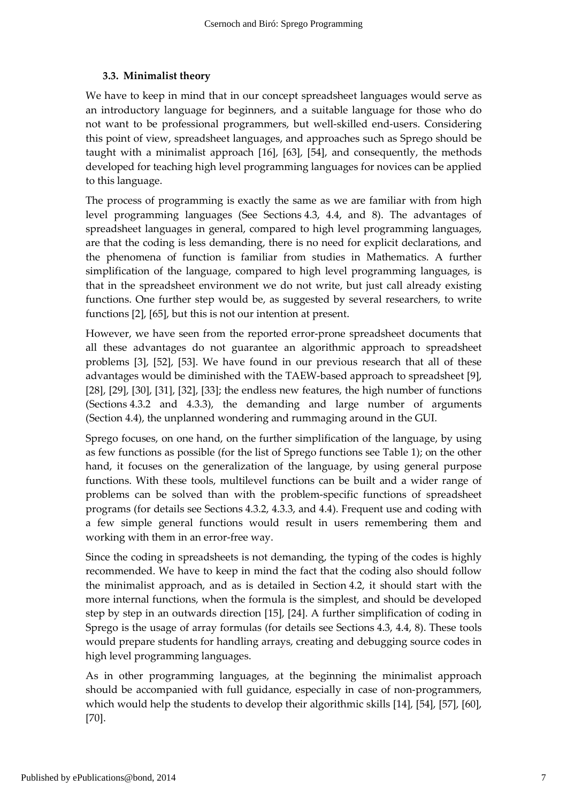## 3.3. Minimalist theory

We have to keep in mind that in our concept spreadsheet languages would serve as an introductory language for beginners, and a suitable language for those who do not want to be professional programmers, but well-skilled end-users. Considering this point of view, spreadsheet languages, and approaches such as Sprego should be taught with a minimalist approach [16], [63], [54], and consequently, the methods developed for teaching high level programming languages for novices can be applied to this language.

The process of programming is exactly the same as we are familiar with from high level programming languages (See Sections 4.3, 4.4, and 8). The advantages of spreadsheet languages in general, compared to high level programming languages, are that the coding is less demanding, there is no need for explicit declarations, and the phenomena of function is familiar from studies in Mathematics. A further simplification of the language, compared to high level programming languages, is that in the spreadsheet environment we do not write, but just call already existing functions. One further step would be, as suggested by several researchers, to write functions [2], [65], but this is not our intention at present.

However, we have seen from the reported error-prone spreadsheet documents that all these advantages do not guarantee an algorithmic approach to spreadsheet problems [3], [52], [53]. We have found in our previous research that all of these advantages would be diminished with the TAEW-based approach to spreadsheet [9], [28], [29], [30], [31], [32], [33]; the endless new features, the high number of functions (Sections 4.3.2 and 4.3.3), the demanding and large number of arguments (Section 4.4), the unplanned wondering and rummaging around in the GUI.

Sprego focuses, on one hand, on the further simplification of the language, by using as few functions as possible (for the list of Sprego functions see Table 1); on the other hand, it focuses on the generalization of the language, by using general purpose functions. With these tools, multilevel functions can be built and a wider range of problems can be solved than with the problem-specific functions of spreadsheet programs (for details see Sections 4.3.2, 4.3.3, and 4.4). Frequent use and coding with a few simple general functions would result in users remembering them and working with them in an error-free way.

Since the coding in spreadsheets is not demanding, the typing of the codes is highly recommended. We have to keep in mind the fact that the coding also should follow the minimalist approach, and as is detailed in Section 4.2, it should start with the more internal functions, when the formula is the simplest, and should be developed step by step in an outwards direction [15], [24]. A further simplification of coding in Sprego is the usage of array formulas (for details see Sections 4.3, 4.4, 8). These tools would prepare students for handling arrays, creating and debugging source codes in high level programming languages.

As in other programming languages, at the beginning the minimalist approach should be accompanied with full guidance, especially in case of non-programmers, which would help the students to develop their algorithmic skills [14], [54], [57], [60], [70].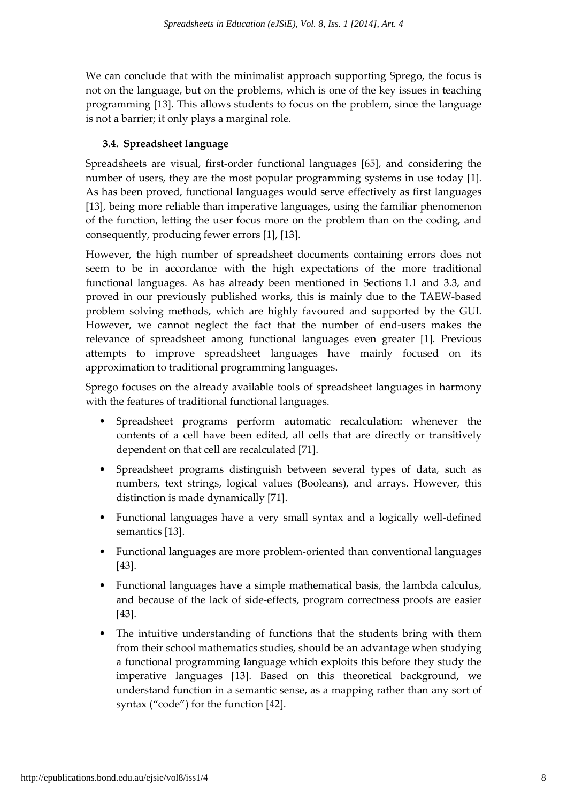We can conclude that with the minimalist approach supporting Sprego, the focus is not on the language, but on the problems, which is one of the key issues in teaching programming [13]. This allows students to focus on the problem, since the language is not a barrier; it only plays a marginal role.

## 3.4. Spreadsheet language

Spreadsheets are visual, first-order functional languages [65], and considering the number of users, they are the most popular programming systems in use today [1]. As has been proved, functional languages would serve effectively as first languages [13], being more reliable than imperative languages, using the familiar phenomenon of the function, letting the user focus more on the problem than on the coding, and consequently, producing fewer errors [1], [13].

However, the high number of spreadsheet documents containing errors does not seem to be in accordance with the high expectations of the more traditional functional languages. As has already been mentioned in Sections 1.1 and 3.3, and proved in our previously published works, this is mainly due to the TAEW-based problem solving methods, which are highly favoured and supported by the GUI. However, we cannot neglect the fact that the number of end-users makes the relevance of spreadsheet among functional languages even greater [1]. Previous attempts to improve spreadsheet languages have mainly focused on its approximation to traditional programming languages.

Sprego focuses on the already available tools of spreadsheet languages in harmony with the features of traditional functional languages.

- Spreadsheet programs perform automatic recalculation: whenever the contents of a cell have been edited, all cells that are directly or transitively dependent on that cell are recalculated [71].
- Spreadsheet programs distinguish between several types of data, such as numbers, text strings, logical values (Booleans), and arrays. However, this distinction is made dynamically [71].
- Functional languages have a very small syntax and a logically well-defined semantics [13].
- Functional languages are more problem-oriented than conventional languages [43].
- Functional languages have a simple mathematical basis, the lambda calculus, and because of the lack of side-effects, program correctness proofs are easier [43].
- The intuitive understanding of functions that the students bring with them from their school mathematics studies, should be an advantage when studying a functional programming language which exploits this before they study the imperative languages [13]. Based on this theoretical background, we understand function in a semantic sense, as a mapping rather than any sort of syntax ("code") for the function [42].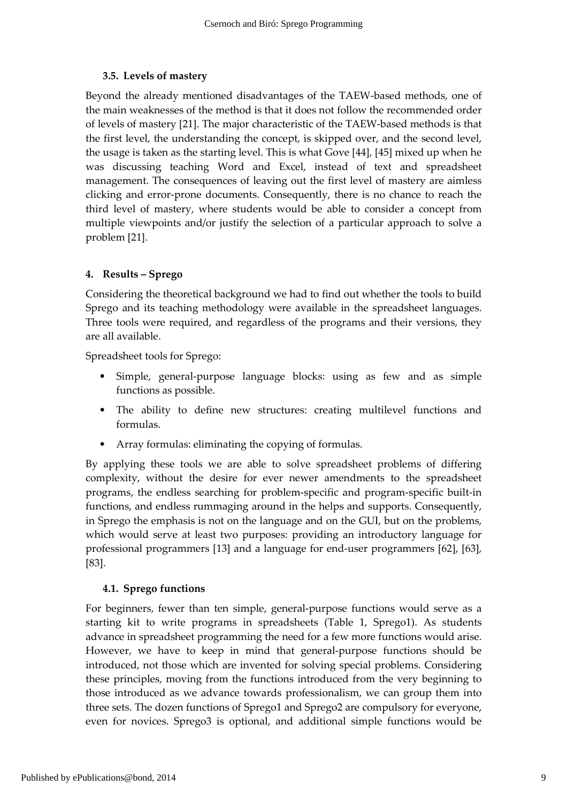# 3.5. Levels of mastery

Beyond the already mentioned disadvantages of the TAEW-based methods, one of the main weaknesses of the method is that it does not follow the recommended order of levels of mastery [21]. The major characteristic of the TAEW-based methods is that the first level, the understanding the concept, is skipped over, and the second level, the usage is taken as the starting level. This is what Gove [44], [45] mixed up when he was discussing teaching Word and Excel, instead of text and spreadsheet management. The consequences of leaving out the first level of mastery are aimless clicking and error-prone documents. Consequently, there is no chance to reach the third level of mastery, where students would be able to consider a concept from multiple viewpoints and/or justify the selection of a particular approach to solve a problem [21].

# 4. Results – Sprego

Considering the theoretical background we had to find out whether the tools to build Sprego and its teaching methodology were available in the spreadsheet languages. Three tools were required, and regardless of the programs and their versions, they are all available.

Spreadsheet tools for Sprego:

- Simple, general-purpose language blocks: using as few and as simple functions as possible.
- The ability to define new structures: creating multilevel functions and formulas.
- Array formulas: eliminating the copying of formulas.

By applying these tools we are able to solve spreadsheet problems of differing complexity, without the desire for ever newer amendments to the spreadsheet programs, the endless searching for problem-specific and program-specific built-in functions, and endless rummaging around in the helps and supports. Consequently, in Sprego the emphasis is not on the language and on the GUI, but on the problems, which would serve at least two purposes: providing an introductory language for professional programmers [13] and a language for end-user programmers [62], [63], [83].

# 4.1. Sprego functions

For beginners, fewer than ten simple, general-purpose functions would serve as a starting kit to write programs in spreadsheets (Table 1, Sprego1). As students advance in spreadsheet programming the need for a few more functions would arise. However, we have to keep in mind that general-purpose functions should be introduced, not those which are invented for solving special problems. Considering these principles, moving from the functions introduced from the very beginning to those introduced as we advance towards professionalism, we can group them into three sets. The dozen functions of Sprego1 and Sprego2 are compulsory for everyone, even for novices. Sprego3 is optional, and additional simple functions would be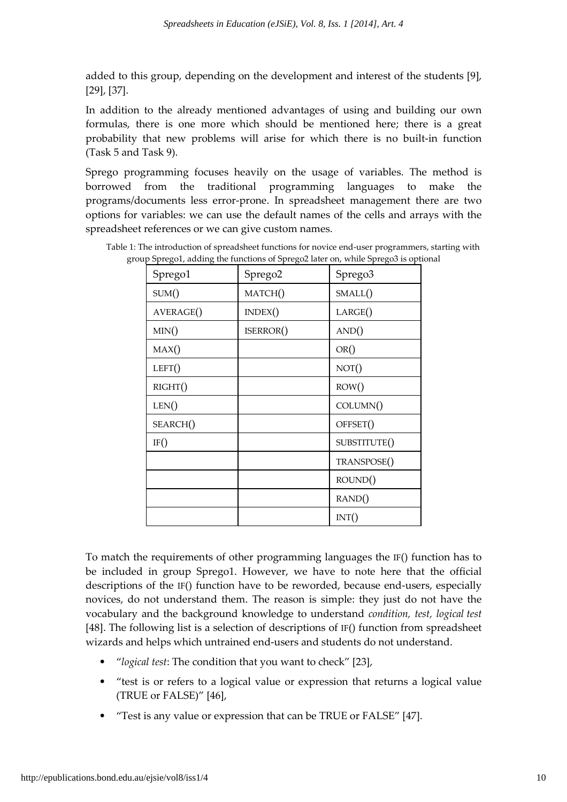added to this group, depending on the development and interest of the students [9], [29], [37].

In addition to the already mentioned advantages of using and building our own formulas, there is one more which should be mentioned here; there is a great probability that new problems will arise for which there is no built-in function (Task 5 and Task 9).

Sprego programming focuses heavily on the usage of variables. The method is borrowed from the traditional programming languages to make the programs/documents less error-prone. In spreadsheet management there are two options for variables: we can use the default names of the cells and arrays with the spreadsheet references or we can give custom names.

| Sprego1   | Sprego2   | Sprego3      |
|-----------|-----------|--------------|
| SUM()     | MATCH()   | SMALL()      |
| AVERAGE() | INDEX()   | LARGE()      |
| MIN()     | ISERROR() | AND()        |
| MAX()     |           | OR()         |
| LEFT()    |           | NOT()        |
| RIGHT()   |           | ROW()        |
| LEN()     |           | COLUMN()     |
| SEARCH()  |           | OFFSET()     |
| IF()      |           | SUBSTITUTE() |
|           |           | TRANSPOSE()  |
|           |           | ROUND()      |
|           |           | RAND()       |
|           |           | INT()        |

Table 1: The introduction of spreadsheet functions for novice end-user programmers, starting with group Sprego1, adding the functions of Sprego2 later on, while Sprego3 is optional

To match the requirements of other programming languages the IF() function has to be included in group Sprego1. However, we have to note here that the official descriptions of the IF() function have to be reworded, because end-users, especially novices, do not understand them. The reason is simple: they just do not have the vocabulary and the background knowledge to understand condition, test, logical test [48]. The following list is a selection of descriptions of IF() function from spreadsheet wizards and helps which untrained end-users and students do not understand.

- "logical test: The condition that you want to check" [23],
- "test is or refers to a logical value or expression that returns a logical value (TRUE or FALSE)" [46],
- "Test is any value or expression that can be TRUE or FALSE" [47].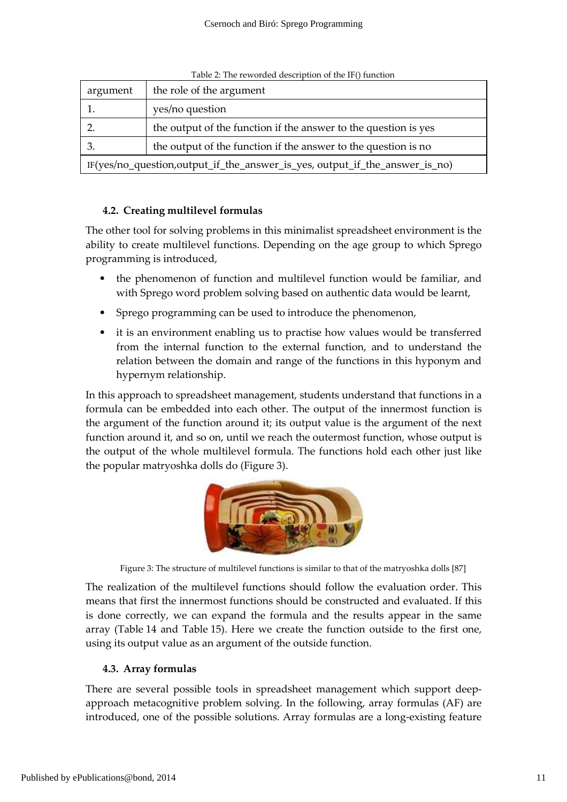| the role of the argument<br>argument                                        |                 |  |  |  |  |  |  |
|-----------------------------------------------------------------------------|-----------------|--|--|--|--|--|--|
|                                                                             | yes/no question |  |  |  |  |  |  |
| the output of the function if the answer to the question is yes             |                 |  |  |  |  |  |  |
| the output of the function if the answer to the question is no              |                 |  |  |  |  |  |  |
| IF(yes/no_question,output_if_the_answer_is_yes, output_if_the_answer_is_no) |                 |  |  |  |  |  |  |

Table 2: The reworded description of the IF() function

## 4.2. Creating multilevel formulas

The other tool for solving problems in this minimalist spreadsheet environment is the ability to create multilevel functions. Depending on the age group to which Sprego programming is introduced,

- the phenomenon of function and multilevel function would be familiar, and with Sprego word problem solving based on authentic data would be learnt,
- Sprego programming can be used to introduce the phenomenon,
- it is an environment enabling us to practise how values would be transferred from the internal function to the external function, and to understand the relation between the domain and range of the functions in this hyponym and hypernym relationship.

In this approach to spreadsheet management, students understand that functions in a formula can be embedded into each other. The output of the innermost function is the argument of the function around it; its output value is the argument of the next function around it, and so on, until we reach the outermost function, whose output is the output of the whole multilevel formula. The functions hold each other just like the popular matryoshka dolls do (Figure 3).



Figure 3: The structure of multilevel functions is similar to that of the matryoshka dolls [87]

The realization of the multilevel functions should follow the evaluation order. This means that first the innermost functions should be constructed and evaluated. If this is done correctly, we can expand the formula and the results appear in the same array (Table 14 and Table 15). Here we create the function outside to the first one, using its output value as an argument of the outside function.

### 4.3. Array formulas

There are several possible tools in spreadsheet management which support deepapproach metacognitive problem solving. In the following, array formulas (AF) are introduced, one of the possible solutions. Array formulas are a long-existing feature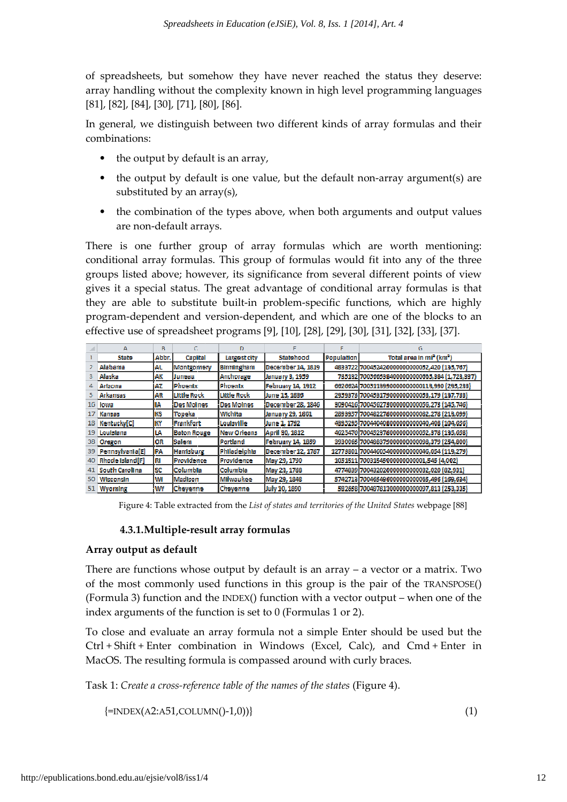of spreadsheets, but somehow they have never reached the status they deserve: array handling without the complexity known in high level programming languages [81], [82], [84], [30], [71], [80 [80], [86].

In general, we distinguish between two different kinds of array formulas and their combinations:

- the output by default is an array,
- $\bullet$  the output by default is one value, but the default non-array argument(s) are substituted by an  $array(s)$ ,
- the combination of the types above, when both arguments and output values are non-default arrays.

There is one further group of array formulas which are worth mentioning: conditional array formulas. This group of formulas would fit into any of the three groups listed above; however, its significance from several different points of view gives it a special status. The great advantage of conditional array formulas is that they are able to substitute built-in problem-specific functions, which are highly program-dependent and version-dependent, and which are one of the blocks to an effective use of spreadsheet programs [9], [10], [28], [29], [30], [31], [32], [33], [37].

|     | А                      | B.        |                    | D                  |                    |                    | G                                                |
|-----|------------------------|-----------|--------------------|--------------------|--------------------|--------------------|--------------------------------------------------|
|     | <b>State</b>           | Abbr.     | Capital            | Largest city       | <b>Statehood</b>   | <b>Population!</b> | Total area in mi <sup>2</sup> (km <sup>2</sup> ) |
|     | Alabama                | AL        | Montgomery         | Birmingham         | December 14, 1819  |                    | 4833722 700452420000000000052,420 (135,767)      |
|     | Alaska                 | МΚ        | Juneau             | Anchorage          | January 3, 1959    |                    | 735132 7005665384000000000665,384 (1,728,837)    |
|     | <b>Arizona</b>         | ΑZ        | <b>IPhoenix</b>    | <b>IPhoenix</b>    | February 14, 1912) |                    | 6626624 7005113990000000000113.990 (295.233)     |
|     | Arkansas               | АR        | <b>Little Rock</b> | <b>Little Rock</b> | June 15, 1836      |                    | 2959373 700453179000000000053,179 (137,733)      |
| 16. | lowa.                  | I٨        | Des Moines         | <b>Des Moines</b>  | December 28, 1846  |                    | 3090416;700456273000000000056,273 (145,746)      |
| 17  | Kansas                 | iks       | Topeka             | <b>Wichita</b>     | January 29, 1861   |                    | 2893957 700482278000000000082,278 (213,099)      |
| 18  | KentuckvICI            | ۱K۲       | Frankfort          | <b>Louisville</b>  | June 1, 1792       |                    | 4395295 7004404080000000000040,408 (104,656)     |
| 19  | Louisiana              | L٨        | <b>Baton Rouge</b> | New Orleans        | April 30, 1812     |                    | 462.5470 700452378000000000052,378 (135,658)     |
|     | 38 Oregon              | ЮR        | Salem              | <b>Portland</b>    | February 14, 1859  |                    | 3930065 700498379000000000098,379 (254,800)      |
| 39  | Pennsylvania[E]        | IPA       | <b>Harrisburg</b>  | Philadelphia       | December 12, 1787  |                    | 12773801 700446054000000000046,054 (119,279)     |
| 40  | <b>Bhode Island[F]</b> | irı       | Providence         | Providence         | May 29, 1790       |                    | 1051511;70031545000000000001,545 (4,002)         |
| 41. | <b>South Carolina</b>  | <b>SC</b> | !Columbia          | !Columbia          | May 23, 1788       |                    | 4774839 700432020000000000032,020 (82,931)       |
| 50. | Wisconsin              | IМ        | Madison            | Milwaukee          | May 29, 1848       |                    | 5742713 700465496000000000065,496 (169,634)      |
|     | 51 Wyoming             | <b>WY</b> | Cheyenne           | <b>Cheyenne</b>    | July 10, 1890      |                    | 582658 700497813000000000097,813 (253,335)       |

Figure 4: Table extracted from the List of states and territories of the United States webpage [88]

# 4.3.1.Multiple-result array formulas

### Array output as default

There are functions whose output by default is an array  $-$  a vector or a matrix. Two of the most commonly used functions in this group is the pair of the TRANSPOSE() (Formula 3) function and the INDEX() function with a vector output – when one of the index arguments of the function is set to  $0$  (Formulas 1 or 2).

To close and evaluate an array formula not a simple Enter should be used but the Ctrl + Shift + Enter combination in Windows (Excel, Calc), and Cmd + Enter in MacOS. The resulting formula is compassed around with curly braces.

Task 1: Create a cross-reference table of the names of the states (Figure 4).

 ${=}$ INDEX(A2:A51,COLUMN()-1,0))}

(1)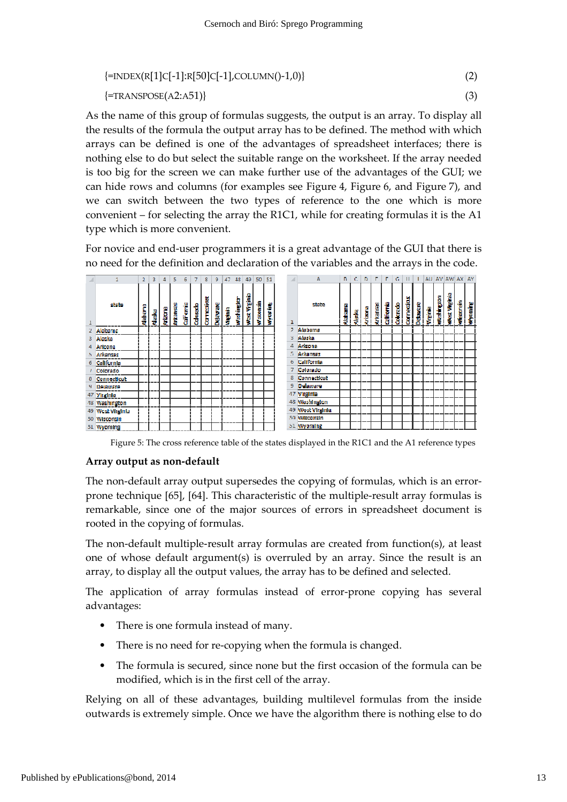$$
\{\text{=INDEX(R[1]C[-1]:R[50]C[-1],COLUMN(-1,0)\}\}\
$$
\n
$$
\{\text{=TRANSPOSE(A2:A51)}\}\
$$
\n(3)

As the name of this group of formulas suggests, the output is an array. To display all the results of the formula the output array has to be defined. The method with which arrays can be defined is one of the advantages of spreadsheet interfaces; there is nothing else to do but select the suitable range on the worksheet. If the array needed is too big for the screen we can make further use of the advantages of the GUI; we can hide rows and columns (for examples see Figure 4, Figure 6, and Figure 7), and we can switch between the two types of reference to the one which is more convenient  $-$  for selecting the array the R1C1, while for creating formulas it is the A1 type which is more convenient.

For novice and end-user programmers it is a great advantage of the GUI that there is no need for the definition and declaration of the variables and the arrays in the code.

|   | 1                  | 2        | 3      | 4.      | 5        | 6                     | 7               | 8          | 9.       | 47          | 48                | 49          | 50               | -51            |                | A                | B       | c      | D       | E        | F          | G       | н           |        |          |            | AU AV AW AX AY |          |         |
|---|--------------------|----------|--------|---------|----------|-----------------------|-----------------|------------|----------|-------------|-------------------|-------------|------------------|----------------|----------------|------------------|---------|--------|---------|----------|------------|---------|-------------|--------|----------|------------|----------------|----------|---------|
|   | stata              | Alabarra | Alaska | Artzona | Artansss | cal <sup>Fornic</sup> | <b>Colorado</b> | carnealact | Delayare | <b>Bing</b> | <b>Washington</b> | wat Viginia | <b>Science</b> W | <b>Wroming</b> | 1              | state            | Alabama | Alasta | Arizona | Arkansas | California | Calendo | Connecticut | Deware | Virginia | washington | was viginia    | Mscansin | Wyoming |
|   | Alabama            |          |        |         |          |                       |                 |            |          |             |                   |             |                  |                | $\overline{2}$ | <b>Alabama</b>   |         |        |         |          |            |         |             |        |          |            |                |          |         |
| з | <b>Alaska</b>      |          |        |         |          |                       |                 |            |          |             |                   |             |                  |                | 3.             | Alaska           |         |        |         |          |            |         |             |        |          |            |                |          |         |
|   | Affrona            |          |        |         |          |                       |                 |            |          |             |                   |             |                  |                | 4              | Arizona          |         |        |         |          |            |         |             |        |          |            |                |          |         |
| 5 | Arkansas           |          |        |         |          |                       |                 |            |          |             |                   |             |                  |                | 5.             | Arkansas         |         |        |         |          |            |         |             |        |          |            |                |          |         |
|   | <b>California</b>  |          |        |         |          |                       |                 |            |          |             |                   |             |                  |                | 6              | California       |         |        |         |          |            |         |             |        |          |            |                |          |         |
|   | Colorado           |          |        |         |          |                       |                 |            |          |             |                   |             |                  |                | 7              | Colorado         |         |        |         |          |            |         |             |        |          |            |                |          |         |
|   | <b>Connecticut</b> |          |        |         |          |                       |                 |            |          |             |                   |             |                  |                | 8.             | Connecticut      |         |        |         |          |            |         |             |        |          |            |                |          |         |
| ۹ | <b>Delaware</b>    |          |        |         |          |                       |                 |            |          |             |                   |             |                  |                | 9              | Delaware         |         |        |         |          |            |         |             |        |          |            |                |          |         |
|   | 47 Virginia        |          |        |         |          |                       |                 |            |          |             |                   |             |                  |                | 47             | <b>Virginia</b>  |         |        |         |          |            |         |             |        |          |            |                |          |         |
|   | 48 Washington      |          |        |         |          |                       |                 |            |          |             |                   |             |                  |                |                | 48 Washington    |         |        |         |          |            |         |             |        |          |            |                |          |         |
|   | 49 West Virginia   |          |        |         |          |                       |                 |            |          |             |                   |             |                  |                |                | 49 West Virginia |         |        |         |          |            |         |             |        |          |            |                |          |         |
|   | 50 Wisconsin       |          |        |         |          |                       |                 |            |          |             |                   |             |                  |                |                | 50 Wisconsin     |         |        |         |          |            |         |             |        |          |            |                |          |         |
|   | 51 Wwoming         |          |        |         |          |                       |                 |            |          |             |                   |             |                  |                |                | 51 Wyoming       |         |        |         |          |            |         |             |        |          |            |                |          |         |

Figure 5: The cross reference table of the states displayed in the R1C1 and the A1 reference types

#### Array output as non-defau default

The non-default array output supersedes the copying of formulas, which is an errorprone technique [65], [64]. This characteristic of the multiple-result array formulas is remarkable, since one of the major sources of errors in spreadsheet document is rooted in the copying of formulas.

The non-default multiple-result array formulas are created from function(s), at least one of whose default argument(s) is overruled by an array. Since the result is an array, to display all the output values, the array has to be defined and selected.

The application of array formulas instead of error-prone copying has several advantages:

- There is one formula instead of many.
- There is no need for re-copying when the formula is changed.
- The formula is secured, since none but the first occasion of the formula can be modified, which is in the first cell of the array.

Relying on all of these advantages, building multilevel formulas from the inside outwards is extremely simple. Once we have the algorithm there is nothing else to do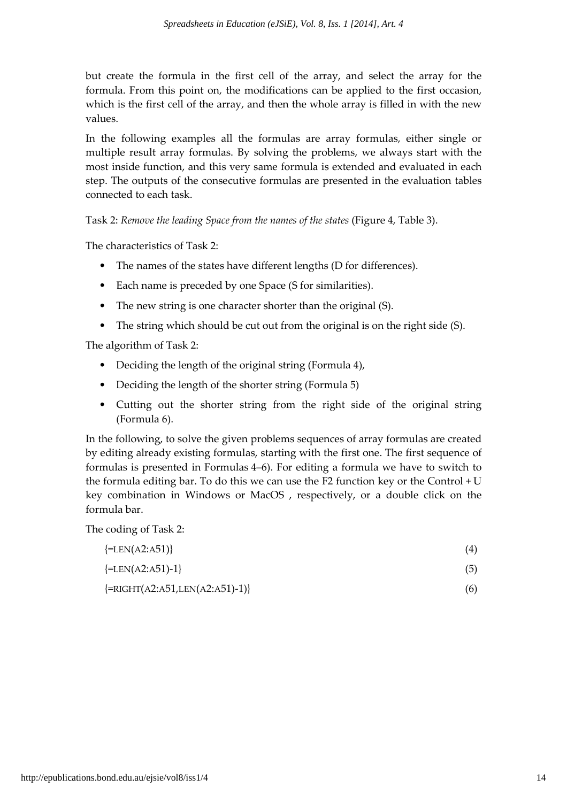but create the formula in the first cell of the array, and select the array for the formula. From this point on, the modifications can be applied to the first occasion, which is the first cell of the array, and then the whole array is filled in with the new values.

In the following examples all the formulas are array formulas, either single or multiple result array formulas. By solving the problems, we always start with the most inside function, and this very same formula is extended and evaluated in each step. The outputs of the consecutive formulas are presented in the evaluation tables connected to each task.

Task 2: Remove the leading Space from the names of the states (Figure 4, Table 3).

The characteristics of Task 2:

- The names of the states have different lengths (D for differences).
- Each name is preceded by one Space (S for similarities).
- The new string is one character shorter than the original (S).
- The string which should be cut out from the original is on the right side (S).

The algorithm of Task 2:

- Deciding the length of the original string (Formula 4),
- Deciding the length of the shorter string (Formula 5)
- Cutting out the shorter string from the right side of the original string (Formula 6).

In the following, to solve the given problems sequences of array formulas are created by editing already existing formulas, starting with the first one. The first sequence of formulas is presented in Formulas 4–6). For editing a formula we have to switch to the formula editing bar. To do this we can use the F2 function key or the Control + U key combination in Windows or MacOS , respectively, or a double click on the formula bar.

The coding of Task 2:

| $\{\text{=LEN}(A2: A51)\}\$                  | (4) |
|----------------------------------------------|-----|
| $\{\text{=LEN}(A2: A51) - 1\}$               | (5) |
| $\{\text{=RIGHT(A2: A51,LEN(A2: A51)-1)}\}\$ | (6) |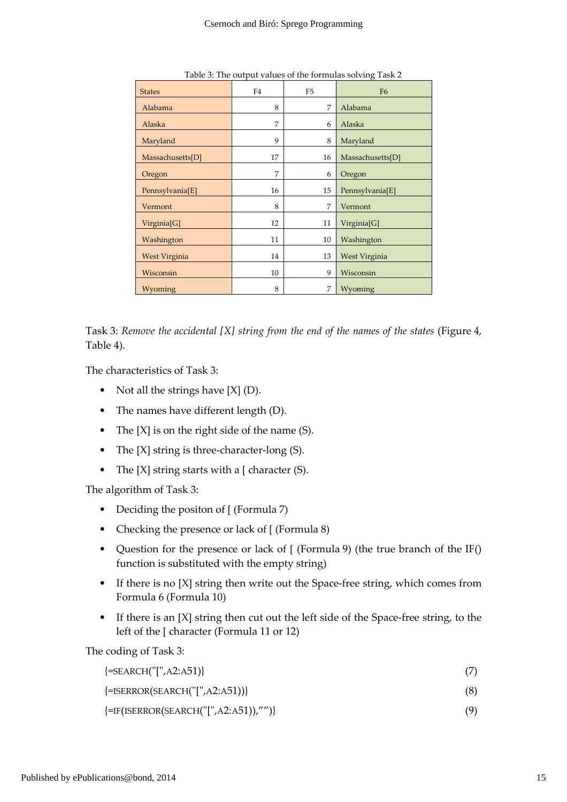| <b>States</b>           | F4 | F <sub>5</sub> | F <sub>6</sub>       |
|-------------------------|----|----------------|----------------------|
| Alabama                 | 8  | 7              | Alabama              |
| Alaska                  | 7  | 6              | Alaska               |
| Maryland                | 9  | 8              | Maryland             |
| Massachusetts[D]        | 17 | 16             | Massachusetts[D]     |
| Oregon                  | 7  | 6              | Oregon               |
| Pennsylvania[E]         | 16 | 15             | Pennsylvania[E]      |
| Vermont                 | 8  | 7              | Vermont              |
| Virginia <sup>[G]</sup> | 12 | 11             | Virginia[G]          |
| Washington              | 11 | 10             | Washington           |
| West Virginia           | 14 | 13             | <b>West Virginia</b> |
| Wisconsin               | 10 | 9              | Wisconsin            |
| Wyoming                 | 8  | 7              | Wyoming              |

Table 3: The output values of the formulas solving Task 2

Task 3: Remove the accidental [X] string from the end of the names of the states (Figure 4, Table 4).

The characteristics of Task 3:

- Not all the strings have  $[X]$  (D).
- The names have different length (D).
- The  $[X]$  is on the right side of the name  $(S)$ .
- The [X] string is three-character-long (S).
- The  $[X]$  string starts with a  $[$  character  $(S)$ .

The algorithm of Task 3:

- Deciding the positon of [ (Formula 7)
- Checking the presence or lack of [ (Formula 8)
- Question for the presence or lack of [ (Formula 9) (the true branch of the IF() function is substituted with the empty string)
- If there is no [X] string then write out the Space-free string, which comes from Formula 6 (Formula 10)
- If there is an [X] string then cut out the left side of the Space-free string, to the left of the [ character (Formula 11 or 12)

The coding of Task 3:

| $\{\text{=SEARCH}("[", A2: A51)\}$ |  |  |
|------------------------------------|--|--|
|------------------------------------|--|--|

{=ISERROR(SEARCH("[",A2:A51))} (8)

 $\{=\text{IF(ISERROR(SEARCH("["", A2:A51)),''")}\}\$  (9)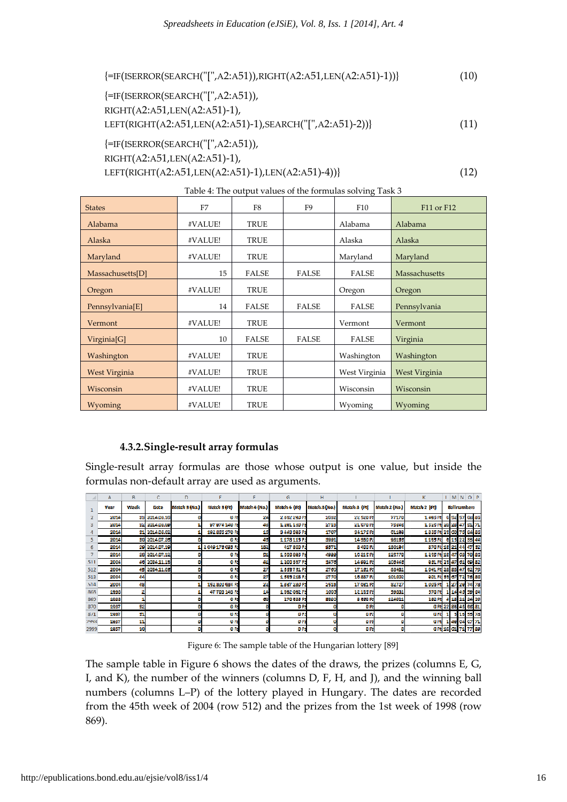{=IF(ISERROR(SEARCH("[ ("[",A2:A51)),RIGHT(A2:A51,LEN(A2:A51)-1))} (10)

{=IF(ISERROR(SEARCH("[ ("[",A2:A51)), RIGHT(A2:A51,LEN(A2: A51)-1), LEFT(RIGHT(A2:A51,LEN (A2:A51)-1),SEARCH("[",A2:A51)-2))} {=IF(ISERROR(SEARCH("[ ("[",A2:A51)), (11)

RIGHT(A2:A51,LEN(A2: A51)-1),

\n
$$
\text{KIGHT}(A2: A31, \text{LEN}(A2: A31) - 1),
$$
\n

\n\n $\text{LEFT}(RIGHT}(A2: A51, \text{LEN}(A2: A51) - 1), \text{LEN}(A2: A51) - 4))$ \n

| <b>States</b>    | F <sub>7</sub> | F8           | F9           | F10           | F11 or F12    |
|------------------|----------------|--------------|--------------|---------------|---------------|
| Alabama          | #VALUE!        | <b>TRUE</b>  |              | Alabama       | Alabama       |
| Alaska           | #VALUE!        | <b>TRUE</b>  |              | Alaska        | Alaska        |
| Maryland         | #VALUE!        | <b>TRUE</b>  |              | Maryland      | Maryland      |
| Massachusetts[D] | 15             | <b>FALSE</b> | <b>FALSE</b> | FALSE         | Massachusetts |
| Oregon           | #VALUE!        | <b>TRUE</b>  |              | Oregon        | Oregon        |
| Pennsylvania[E]  | 14             | <b>FALSE</b> | <b>FALSE</b> | FALSE         | Pennsylvania  |
| Vermont          | #VALUE!        | <b>TRUE</b>  |              | Vermont       | Vermont       |
| Virginia[G]      | 10             | <b>FALSE</b> | <b>FALSE</b> | FALSE         | Virginia      |
| Washington       | #VALUE!        | <b>TRUE</b>  |              | Washington    | Washington    |
| West Virginia    | #VALUE!        | <b>TRUE</b>  |              | West Virginia | West Virginia |
| Wisconsin        | #VALUE!        | <b>TRUE</b>  |              | Wisconsin     | Wisconsin     |
| Wyoming          | #VALUE!        | <b>TRUE</b>  |              | Wyoming       | Wyoming       |

| Table 4: The output values of the formulas solving Task 3 |  |  |  |
|-----------------------------------------------------------|--|--|--|
|                                                           |  |  |  |
|                                                           |  |  |  |

### 4.3.2.Single-result a result array formulas

Single-result array formulas are those whose output is one value, but inside the formulas non-default array are used as arguments.

|                | A    | B    | C                    | D             | F               |               | G                | н             |                      |                      | K.                      |         |                     | $LMN$ O P           |
|----------------|------|------|----------------------|---------------|-----------------|---------------|------------------|---------------|----------------------|----------------------|-------------------------|---------|---------------------|---------------------|
|                | Year | Week | Date                 | Match 5 (No.) | Match 5 (ft)    | Match 4 (Mo.) | Match 4 (Ft)     | Match 3 (No.) | Match 3 (ft)         | <b>Match 2 (No.)</b> | Match 2 (Ft)            |         | <b>Ball mumbers</b> |                     |
|                | 2014 |      | <b>35 2014.08.16</b> |               | 0 <sub>1</sub>  | 24            | 2 3 3 2 2 3 D Ft | 2652          | 22520 <sub>It</sub>  | 77170                | 1.495 H                 |         |                     | 6 52 57 68 86       |
| $\overline{3}$ | 2014 |      | 32 2014 08:09        |               | 97974140 R      | 45            | 1.291.130Ft      | 2715          | 21670 <sub>ft</sub>  | 75045                | 1 525 ft 20 28 47 51 71 |         |                     |                     |
| 4              | 2014 |      | 31 2014.08.02        |               | 192866270 R     | 16            | 9449595Ft        | 1707          | 94175R               | 61199                | 1 855 Ft 28 60 76 84 85 |         |                     |                     |
| 5.             | 2014 |      | 30 2014.07.26        |               | 0 Pt            | 46            | 1178115Ft        | 5991          | 14380 <sub>1</sub> t | 98165                | 1.135 ft                |         |                     | 6 15 22 33 44       |
| 6              | 2014 |      | 29 2014.07.19        |               | 204917609Fft    | 182           | 417 300 Ft       | 9571          | 8 400 Ft             | 180194               | 870 ft 13 21 44 47 52   |         |                     |                     |
|                | 2014 |      | 28 2014.07.12        |               | <b>OF</b>       | 51            | 1,500,8951%      | 4999          | 1621511              | 125770               | 1 255 Ft 13 47 68 70 86 |         |                     |                     |
| 511            | 2004 |      | 46 2004.11.13        |               | <b>OPE</b>      | 41            | 1.20033717       | 3470          | 14991 Ft             | 105445               | 961 Ft 28 47 61 69 82   |         |                     |                     |
| 512            | 2004 |      | 45 2004.11.05        |               | <b>011</b>      | 27            | 1655751Ft        | 2769          | 1716111              | 88481                | 1.041 ft 28 88 47 62 79 |         |                     |                     |
| 513            | 2004 | 44   |                      |               | 0 <sub>R</sub>  | 27            | 1,696,21811      | 2770          | 16857 ft             | 101002               | 901 Ft 56 67 72 75 80   |         |                     |                     |
| 514            | 2004 | 43   |                      |               | 152800684 R     | 22            | 1837280Ft        | 2513          | 1703118              | 82727                | 1,006 Hz                |         |                     | 1 27 29 74 78       |
| 868            | 1998 | 2    |                      |               | 47706148ft      | 14            | 1.392.092 Ft     | 1609          | 12 135 ft            | 59861                | 570 Ft                  |         |                     | 1 14 46 59 64       |
| 869            | 1998 |      |                      |               | 0 <sub>R</sub>  | 69            | 270685Ft         | 5080          | <b>3 669 Ft</b>      | 124921               | 262 H                   | 4 18 21 |                     | 24 29               |
| 870            | 1997 | 52   |                      |               | 0 <sub>Ft</sub> |               | ort              |               | on                   |                      |                         |         |                     | 0 ft 22 33 45 66 81 |
| 8/1            | 1997 | 51   |                      |               | ore             |               | on               |               | ort                  |                      | <b>OIL</b>              |         |                     | 5 13 55 78          |
| 2998           | 1957 | 11   |                      |               | <b>O</b> Pt     |               | <b>OF</b>        |               | ort                  |                      | <b>O</b> <sub>II</sub>  |         |                     | 1 49 64 67 71       |
| 2999           | 1957 | 10   |                      | u             | 6 <sub>Ft</sub> |               | <b>OFt</b>       |               | 0 <sub>Ft</sub>      | m                    |                         |         |                     | 0 Ft 16 61 71 77 89 |

Figur Figure 6: The sample table of the Hungarian lottery [89]

The sample table in Figure 6 shows the dates of the draws, the prizes (columns E, G, I, and K), the number of the winners (columns D, F, H, and J), and the winning ball numbers (columns L–P) of the lottery played in Hungary. The dates are recorded from the 45th week of 2004 (row 512) and the prizes from the 1st week of 1998 (row 869).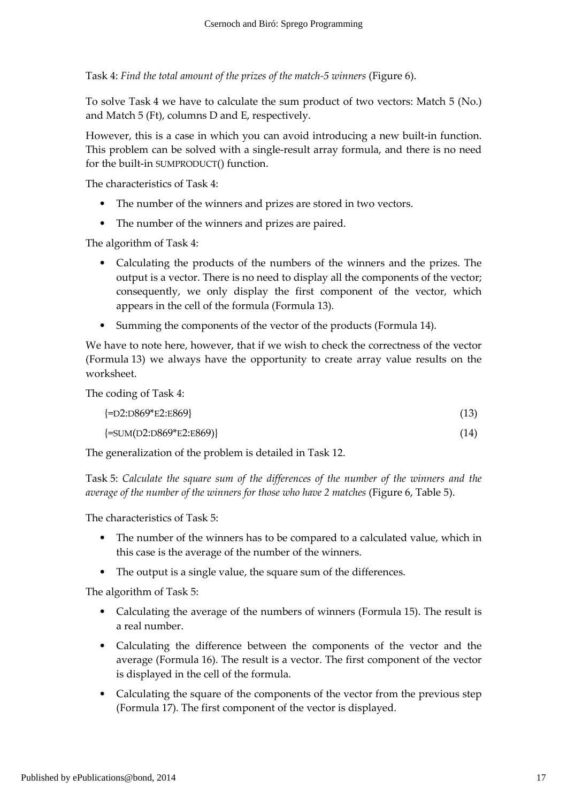Task 4: Find the total amount of the prizes of the match-5 winners (Figure 6).

To solve Task 4 we have to calculate the sum product of two vectors: Match 5 (No.) and Match 5 (Ft), columns D and E, respectively.

However, this is a case in which you can avoid introducing a new built-in function. This problem can be solved with a single-result array formula, and there is no need for the built-in SUMPRODUCT() function.

The characteristics of Task 4:

- The number of the winners and prizes are stored in two vectors.
- The number of the winners and prizes are paired.

The algorithm of Task 4:

- Calculating the products of the numbers of the winners and the prizes. The output is a vector. There is no need to display all the components of the vector; consequently, we only display the first component of the vector, which appears in the cell of the formula (Formula 13).
- Summing the components of the vector of the products (Formula 14).

We have to note here, however, that if we wish to check the correctness of the vector (Formula 13) we always have the opportunity to create array value results on the worksheet.

The coding of Task 4:

| $\left\{ = D2: D869*E2: E869 \right\}$ | (13) |
|----------------------------------------|------|
| $\{\text{=SUM}(D2:D869*E2:E869)\}\$    | (14) |

The generalization of the problem is detailed in Task 12.

Task 5: Calculate the square sum of the differences of the number of the winners and the average of the number of the winners for those who have 2 matches (Figure 6, Table 5).

The characteristics of Task 5:

- The number of the winners has to be compared to a calculated value, which in this case is the average of the number of the winners.
- The output is a single value, the square sum of the differences.

The algorithm of Task 5:

- Calculating the average of the numbers of winners (Formula 15). The result is a real number.
- Calculating the difference between the components of the vector and the average (Formula 16). The result is a vector. The first component of the vector is displayed in the cell of the formula.
- Calculating the square of the components of the vector from the previous step (Formula 17). The first component of the vector is displayed.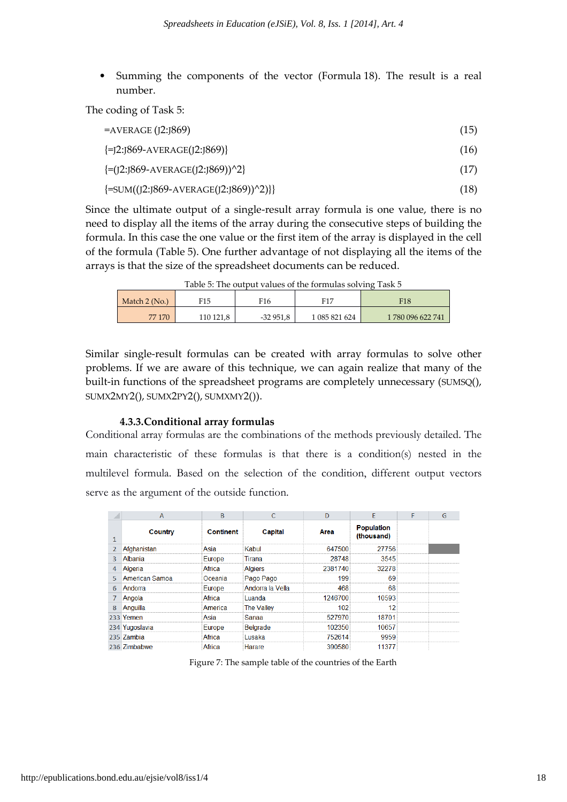• Summing the components of the vector (Formula 18). The result is a real number.

The coding of Task 5:

| $=$ AVERAGE (J2:J869)                          | (15) |
|------------------------------------------------|------|
| $\{ = [2:]869-AVERAGE([2:]869)\}$              | (16) |
| $\left\{=(J2:J869-AVERAGE(J2:J869))^2\right\}$ | (17) |
| ${=}SUM((J2:J869-AVERAGE(J2:J869))^2)]$        | (18) |

Since the ultimate output of a single-result array formula is one value, there is no need to display all the items of the array during the consecutive steps of building the formula. In this case the one value or the first item of the array is displayed in the cell of the formula (Table 5). One further advantage of not displaying all the items of the arrays is that the size of the spreadsheet documents can be reduced.

|                 |           |            | Tuble 0, The output values of the formulate softing Tusk's |                  |
|-----------------|-----------|------------|------------------------------------------------------------|------------------|
| Match $2$ (No.) | F15       | F16        | F <sub>17</sub>                                            | F18              |
| 77 170          | 110 121,8 | $-32951.8$ | 1 085 821 624                                              | 1780 096 622 741 |

Table 5: The output values of the formulas solving Task 5

Similar single-result formulas can be created with array formulas to solve other problems. If we are aware of this technique, we can again realize that many of the built-in functions of the spreadsheet programs are completely unnecessary (SUMSQ(), SUMX2MY2(), SUMX2PY2(), SUMXMY2()).

#### 4.3.3.Conditional array formulas

Conditional array formulas are the combinations of the methods previously detailed. The main characteristic of these formulas is that there is a condition(s) nested in the multilevel formula. Based on the selection of the condition, different output vectors serve as the argument of the outside function.

|                | $\overline{A}$        | B                |                   | $\mathsf{D}$ | E                               | F | G |
|----------------|-----------------------|------------------|-------------------|--------------|---------------------------------|---|---|
| 1              | Country               | <b>Continent</b> | Capital           | Area         | <b>Population</b><br>(thousand) |   |   |
| $\overline{2}$ | Afghanistan           | Asia             | Kabul             | 647500       | 27756                           |   |   |
| 3              | Albania               | Europe           | Tirana            | 28748        | 3545                            |   |   |
| 4              | Algeria               | Africa           | <b>Algiers</b>    | 2381740      | 32278                           |   |   |
| 5.             | <b>American Samoa</b> | Oceania          | Pago Pago         | 199          | 69                              |   |   |
| 6              | Andorra               | Europe           | Andorra la Vella  | 468          | 68                              |   |   |
|                | Angola                | Africa           | Luanda            | 1246700      | 10593                           |   |   |
| $\mathbf{8}$   | Anguilla              | America          | <b>The Valley</b> | 102          | 12                              |   |   |
|                | 233 Yemen             | Asia             | Sanaa             | 527970       | 18701                           |   |   |
|                | 234 Yugoslavia        | Europe           | <b>Belgrade</b>   | 102350       | 10657                           |   |   |
|                | 235 Zambia            | Africa           | Lusaka            | 752614       | 9959                            |   |   |
|                | 236 Zimbabwe          | Africa           | Harare            | 390580       | 11377                           |   |   |

Figure 7: The sample table of the countries of the Earth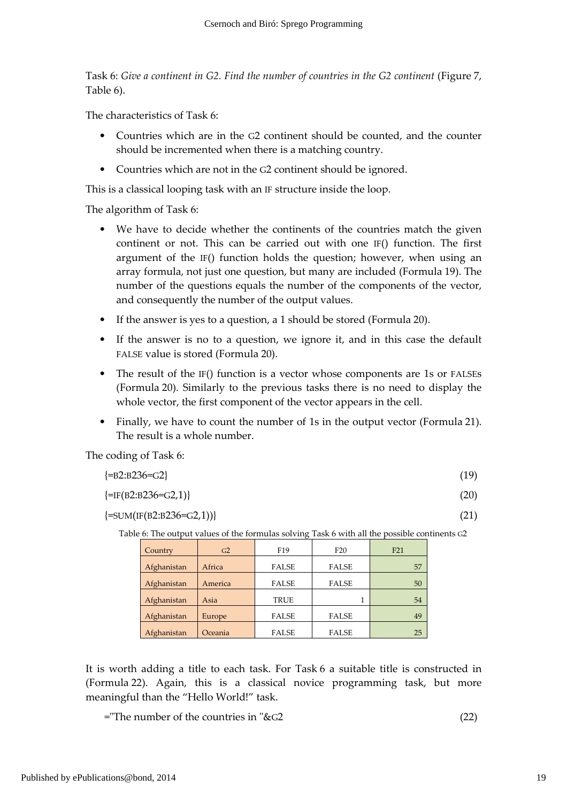Task 6: Give a continent in G2. Find the number of countries in the G2 continent (Figure 7, Table 6).

The characteristics of Task 6:

- Countries which are in the G2 continent should be counted, and the counter should be incremented when there is a matching country.
- Countries which are not in the G2 continent should be ignored.

This is a classical looping task with an IF structure inside the loop.

The algorithm of Task 6:

- We have to decide whether the continents of the countries match the given continent or not. This can be carried out with one IF() function. The first argument of the IF() function holds the question; however, when using an array formula, not just one question, but many are included (Formula 19). The number of the questions equals the number of the components of the vector, and consequently the number of the output values.
- If the answer is yes to a question, a 1 should be stored (Formula 20).
- If the answer is no to a question, we ignore it, and in this case the default FALSE value is stored (Formula 20).
- The result of the IF() function is a vector whose components are 1s or FALSEs (Formula 20). Similarly to the previous tasks there is no need to display the whole vector, the first component of the vector appears in the cell.
- Finally, we have to count the number of 1s in the output vector (Formula 21). The result is a whole number.

The coding of Task 6:

| $\{\text{=B2:B236=}\text{G2}\}\$ | (19) |
|----------------------------------|------|
|                                  |      |

```
\{=\text{IF}(B2:B236=G2,1)\}\ (20)
```
 $\{\text{=SUM}(\text{IF}(B2:B236=G2,1))\}$  (21)

Table 6: The output values of the formulas solving Task 6 with all the possible continents G2

| Country     | G <sub>2</sub> | F <sub>19</sub> | F20          | F21 |
|-------------|----------------|-----------------|--------------|-----|
| Afghanistan | Africa         | <b>FALSE</b>    | <b>FALSE</b> | 57  |
| Afghanistan | America        | <b>FALSE</b>    | <b>FALSE</b> | 50  |
| Afghanistan | Asia           | <b>TRUE</b>     |              | 54  |
| Afghanistan | Europe         | <b>FALSE</b>    | <b>FALSE</b> | 49  |
| Afghanistan | Oceania        | <b>FALSE</b>    | <b>FALSE</b> | 25  |

It is worth adding a title to each task. For Task 6 a suitable title is constructed in (Formula 22). Again, this is a classical novice programming task, but more meaningful than the "Hello World!" task.

="The number of the countries in "&G2 (22)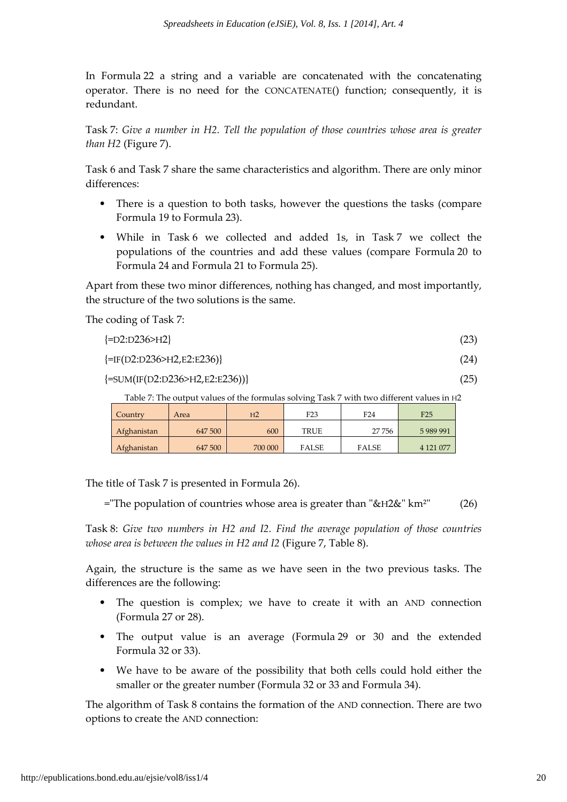In Formula 22 a string and a variable are concatenated with the concatenating operator. There is no need for the CONCATENATE() function; consequently, it is redundant.

Task 7: Give a number in H2. Tell the population of those countries whose area is greater than H2 (Figure 7).

Task 6 and Task 7 share the same characteristics and algorithm. There are only minor differences:

- There is a question to both tasks, however the questions the tasks (compare Formula 19 to Formula 23).
- While in Task 6 we collected and added 1s, in Task 7 we collect the populations of the countries and add these values (compare Formula 20 to Formula 24 and Formula 21 to Formula 25).

Apart from these two minor differences, nothing has changed, and most importantly, the structure of the two solutions is the same.

The coding of Task 7:

| $\{\text{=D2:} \text{D236} \text{>} \text{H2}\}\$ | (23) |
|---------------------------------------------------|------|
|                                                   |      |

```
\{=\text{IF}(D2:D236>H2,E2:E236)\} (24)
```
 $\{\text{=SUM}(\text{IF}(D2:D236>H2,E2:E236))\}$  (25)

Table 7: The output values of the formulas solving Task 7 with two different values in H2

| Country     | Area    | H <sub>2</sub> | F <sub>23</sub> | F <sub>24</sub> | F25           |
|-------------|---------|----------------|-----------------|-----------------|---------------|
| Afghanistan | 647 500 | 600            | <b>TRUE</b>     | 27756           | 5989991       |
| Afghanistan | 647 500 | 700 000        | <b>FALSE</b>    | <b>FALSE</b>    | 4 1 2 1 0 7 7 |

The title of Task 7 is presented in Formula 26).

="The population of countries whose area is greater than "&H2&" km²" (26)

Task 8: Give two numbers in H2 and I2. Find the average population of those countries whose area is between the values in H2 and I2 (Figure 7, Table 8).

Again, the structure is the same as we have seen in the two previous tasks. The differences are the following:

- The question is complex; we have to create it with an AND connection (Formula 27 or 28).
- The output value is an average (Formula 29 or 30 and the extended Formula 32 or 33).
- We have to be aware of the possibility that both cells could hold either the smaller or the greater number (Formula 32 or 33 and Formula 34).

The algorithm of Task 8 contains the formation of the AND connection. There are two options to create the AND connection: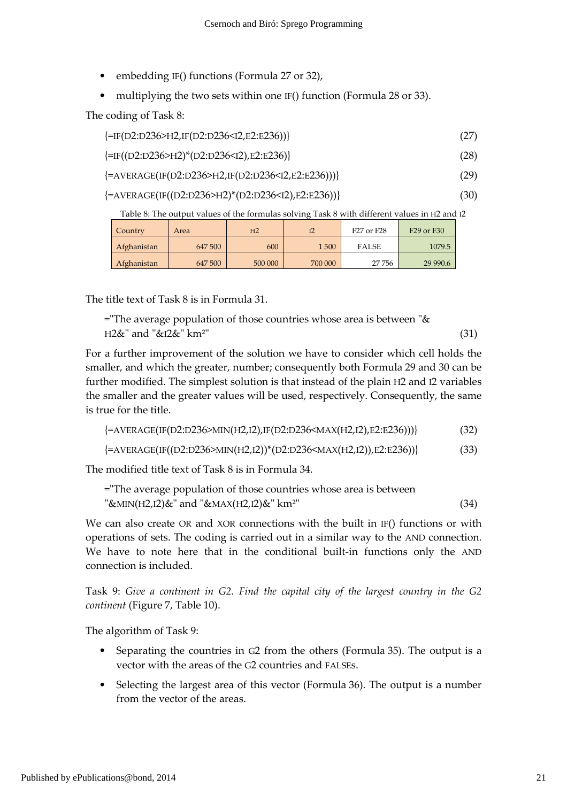- embedding IF() functions (Formula 27 or 32),
- multiplying the two sets within one IF() function (Formula 28 or 33).

The coding of Task 8:

| {=IF(D2:D236>H2,IF(D2:D236 <i2,e2:e236))}< th=""><th></th></i2,e2:e236))}<> |  |
|-----------------------------------------------------------------------------|--|
|                                                                             |  |

| {=IF((D2:D236>H2)*(D2:D236 <i2),e2:e236)}< th=""><th>(28)</th><th></th></i2),e2:e236)}<> | (28) |  |
|------------------------------------------------------------------------------------------|------|--|
|------------------------------------------------------------------------------------------|------|--|

```
\{\text{=AVERAGE}(\text{IF}(D2:D236>H2,IF(D2:D236<I2,E2:E236)))\} (29)
```
 $\{\text{=AVERAGE}(\text{IF}((D2:D236>H2)* (D2:D236 (30)$ 

Table 8: The output values of the formulas solving Task 8 with different values in H2 and I2

| Country     | Area    | H <sub>2</sub> |         | F27 or F28   | F29 or F30 |
|-------------|---------|----------------|---------|--------------|------------|
| Afghanistan | 647 500 | 600            | 1500    | <b>FALSE</b> | 1079.5     |
| Afghanistan | 647 500 | 500 000        | 700 000 | 27756        | 29 990.6   |

The title text of Task 8 is in Formula 31.

="The average population of those countries whose area is between " $\&$  $H2\&$ " and " $\&I2\&$ " km<sup>2"</sup> (31)

For a further improvement of the solution we have to consider which cell holds the smaller, and which the greater, number; consequently both Formula 29 and 30 can be further modified. The simplest solution is that instead of the plain H2 and I2 variables the smaller and the greater values will be used, respectively. Consequently, the same is true for the title.

| {=AVERAGE(IF(D2:D236>MIN(H2,I2),IF(D2:D236 <max(h2,i2),e2:e236)))}< th=""><th>(32)</th></max(h2,i2),e2:e236)))}<> | (32) |
|-------------------------------------------------------------------------------------------------------------------|------|
|                                                                                                                   |      |

 $\{\text{=AVERAGE}(\text{IF}((D2:D236>MIN(H2,I2))*(D2:D236< MAX(H2,I2)), E2:E236))\}$  (33)

The modified title text of Task 8 is in Formula 34.

| ="The average population of those countries whose area is between |      |
|-------------------------------------------------------------------|------|
| "&MIN(H2,I2)&" and "&MAX(H2,I2)&" km <sup>2</sup> "               | (34) |

We can also create OR and XOR connections with the built in IF() functions or with operations of sets. The coding is carried out in a similar way to the AND connection. We have to note here that in the conditional built-in functions only the AND connection is included.

Task 9: Give a continent in G2. Find the capital city of the largest country in the G2 continent (Figure 7, Table 10).

The algorithm of Task 9:

- Separating the countries in G2 from the others (Formula 35). The output is a vector with the areas of the G2 countries and FALSEs.
- Selecting the largest area of this vector (Formula 36). The output is a number from the vector of the areas.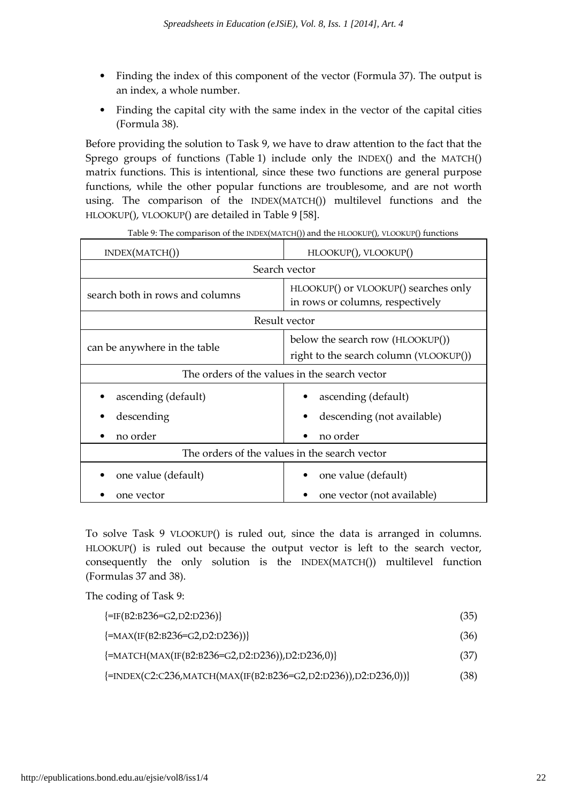- Finding the index of this component of the vector (Formula 37). The output is an index, a whole number.
- Finding the capital city with the same index in the vector of the capital cities (Formula 38).

Before providing the solution to Task 9, we have to draw attention to the fact that the Sprego groups of functions (Table 1) include only the INDEX() and the MATCH() matrix functions. This is intentional, since these two functions are general purpose functions, while the other popular functions are troublesome, and are not worth using. The comparison of the INDEX(MATCH()) multilevel functions and the HLOOKUP(), VLOOKUP() are detailed in Table 9 [58].

| INDEX(MATCH))                                 | HLOOKUP(), VLOOKUP()                                                       |  |  |
|-----------------------------------------------|----------------------------------------------------------------------------|--|--|
|                                               | Search vector                                                              |  |  |
| search both in rows and columns               | HLOOKUP() or VLOOKUP() searches only<br>in rows or columns, respectively   |  |  |
|                                               | Result vector                                                              |  |  |
| can be anywhere in the table                  | below the search row (HLOOKUP())<br>right to the search column (VLOOKUP()) |  |  |
|                                               | The orders of the values in the search vector                              |  |  |
| ascending (default)                           | ascending (default)                                                        |  |  |
| descending                                    | descending (not available)                                                 |  |  |
| no order                                      | no order                                                                   |  |  |
| The orders of the values in the search vector |                                                                            |  |  |
| one value (default)                           | one value (default)                                                        |  |  |
| one vector                                    | one vector (not available)                                                 |  |  |

|  |  | Table 9: The comparison of the INDEX(MATCH()) and the HLOOKUP(), VLOOKUP() functions |
|--|--|--------------------------------------------------------------------------------------|
|  |  |                                                                                      |

To solve Task 9 VLOOKUP() is ruled out, since the data is arranged in columns. HLOOKUP() is ruled out because the output vector is left to the search vector, consequently the only solution is the INDEX(MATCH()) multilevel function (Formulas 37 and 38).

The coding of Task 9:

| $\left\{=\text{IF(B2:B236=G2,D2:D236)}\right\}$                                            | (35) |
|--------------------------------------------------------------------------------------------|------|
| $\{\text{=MAX}(\text{IF}(B2:B236=\text{G2},D2:D236))\}$                                    | (36) |
| $\{\text{=MATCH}(MAX(\text{IF}(B2:B236=\text{G2},D2:D236)),D2:D236,0)\}\$                  | (37) |
| $\{\text{=INDEX}(C2:C236, \text{MATCH}(MAX(\text{IF}(B2:B236=G2,D2:D236)), D2:D236, 0))\}$ | (38) |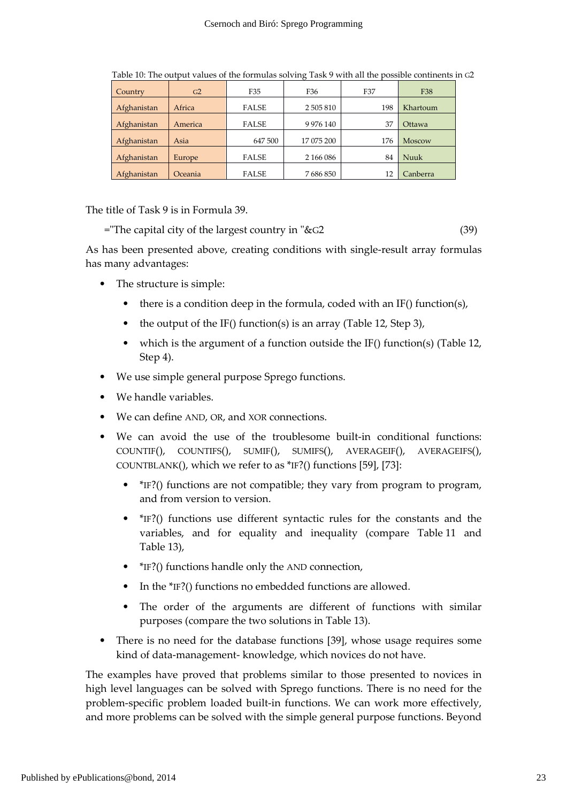| Country     | G <sub>2</sub> | F35          | F36           | F37 | F38           |
|-------------|----------------|--------------|---------------|-----|---------------|
| Afghanistan | Africa         | <b>FALSE</b> | 2 505 810     | 198 | Khartoum      |
| Afghanistan | America        | <b>FALSE</b> | 9 9 7 6 1 4 0 | 37  | Ottawa        |
| Afghanistan | Asia           | 647 500      | 17 075 200    | 176 | <b>Moscow</b> |
| Afghanistan | Europe         | <b>FALSE</b> | 2 166 086     | 84  | Nuuk          |
| Afghanistan | Oceania        | <b>FALSE</b> | 7686850       | 12  | Canberra      |

Table 10: The output values of the formulas solving Task 9 with all the possible continents in G2

The title of Task 9 is in Formula 39.

="The capital city of the largest country in "&G2 (39)

As has been presented above, creating conditions with single-result array formulas has many advantages:

- The structure is simple:
	- there is a condition deep in the formula, coded with an IF() function(s),
	- the output of the IF() function(s) is an array (Table 12, Step 3),
	- which is the argument of a function outside the IF() function(s) (Table 12, Step 4).
- We use simple general purpose Sprego functions.
- We handle variables.
- We can define AND, OR, and XOR connections.
- We can avoid the use of the troublesome built-in conditional functions: COUNTIF(), COUNTIFS(), SUMIF(), SUMIFS(), AVERAGEIF(), AVERAGEIFS(), COUNTBLANK(), which we refer to as \*IF?() functions [59], [73]:
	- \*IF?() functions are not compatible; they vary from program to program, and from version to version.
	- \*IF?() functions use different syntactic rules for the constants and the variables, and for equality and inequality (compare Table 11 and Table 13),
	- \*IF?() functions handle only the AND connection,
	- In the \*IF?() functions no embedded functions are allowed.
	- The order of the arguments are different of functions with similar purposes (compare the two solutions in Table 13).
- There is no need for the database functions [39], whose usage requires some kind of data-management- knowledge, which novices do not have.

The examples have proved that problems similar to those presented to novices in high level languages can be solved with Sprego functions. There is no need for the problem-specific problem loaded built-in functions. We can work more effectively, and more problems can be solved with the simple general purpose functions. Beyond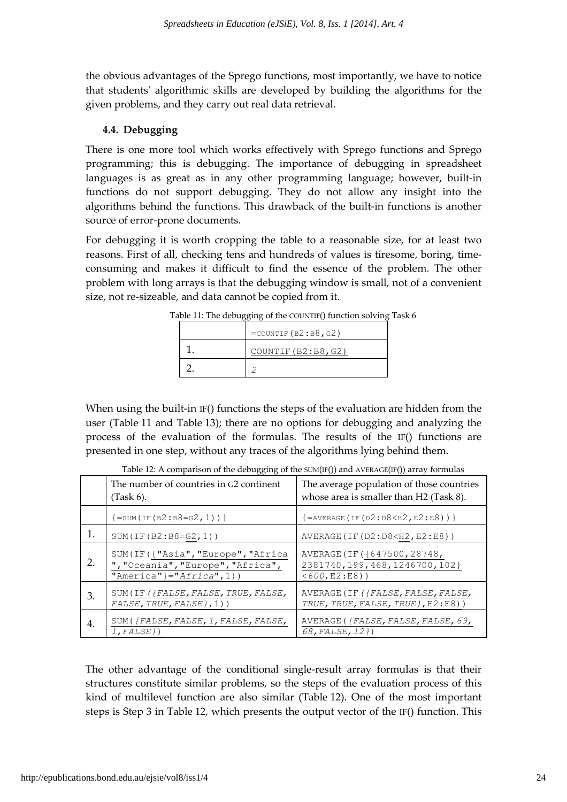the obvious advantages of the Sprego functions, most importantly, we have to notice that students' algorithmic skills are developed by building the algorithms for the given problems, and they carry out real data retrieval.

## 4.4. Debugging

There is one more tool which works effectively with Sprego functions and Sprego programming; this is debugging. The importance of debugging in spreadsheet languages is as great as in any other programming language; however, built-in functions do not support debugging. They do not allow any insight into the algorithms behind the functions. This drawback of the built-in functions is another source of error-prone documents.

For debugging it is worth cropping the table to a reasonable size, for at least two reasons. First of all, checking tens and hundreds of values is tiresome, boring, timeconsuming and makes it difficult to find the essence of the problem. The other problem with long arrays is that the debugging window is small, not of a convenient size, not re-sizeable, and data cannot be copied from it.

| $=$ COUNTIF $(B2:B8, G2)$ |
|---------------------------|
| COUNTIF (B2:B8, G2)       |
|                           |

Table 11: The debugging of the COUNTIF() function solving Task 6

When using the built-in IF() functions the steps of the evaluation are hidden from the user (Table 11 and Table 13); there are no options for debugging and analyzing the process of the evaluation of the formulas. The results of the IF() functions are presented in one step, without any traces of the algorithms lying behind them.

|    | The number of countries in G2 continent<br>$(Task 6)$ .                                                  | The average population of those countries<br>whose area is smaller than H2 (Task 8).    |
|----|----------------------------------------------------------------------------------------------------------|-----------------------------------------------------------------------------------------|
|    | ${=}$ SUM(IF(B2:B8=G2,1))}                                                                               | ${=$ AVERAGE (IF (D2: D8 < H2, E2: E8)) }                                               |
|    | $SUM(IF(B2:B8=G2,1))$                                                                                    | AVERAGE (IF (D2:D8 <h2, e2:e8))<="" th=""></h2,>                                        |
| 2. | SUM(IF({"Asia", "Europe", "Africa<br>", "Oceania", "Europe", "Africa",<br>"America" }=" $A$ frica", 1) } | AVERAGE (IF ({647500, 28748,<br>2381740, 199, 468, 1246700, 102}<br>$< 600, E2 : E8)$ ) |
| З. | SUM(IF({FALSE, FALSE, TRUE, FALSE,<br>$FALSE, TRUE, FALSE\}, 1)$ )                                       | AVERAGE (IF ({FALSE, FALSE, FALSE,<br>TRUE, TRUE, FALSE, TRUE }, E2:E8))                |
| 4. | SUM({FALSE, FALSE, 1, FALSE, FALSE,<br>$1, FALSE$ })                                                     | AVERAGE ({FALSE, FALSE, FALSE, 69,<br>68, FALSE, 12})                                   |

Table 12: A comparison of the debugging of the SUM(IF()) and AVERAGE(IF()) array formulas

The other advantage of the conditional single-result array formulas is that their structures constitute similar problems, so the steps of the evaluation process of this kind of multilevel function are also similar (Table 12). One of the most important steps is Step 3 in Table 12, which presents the output vector of the IF() function. This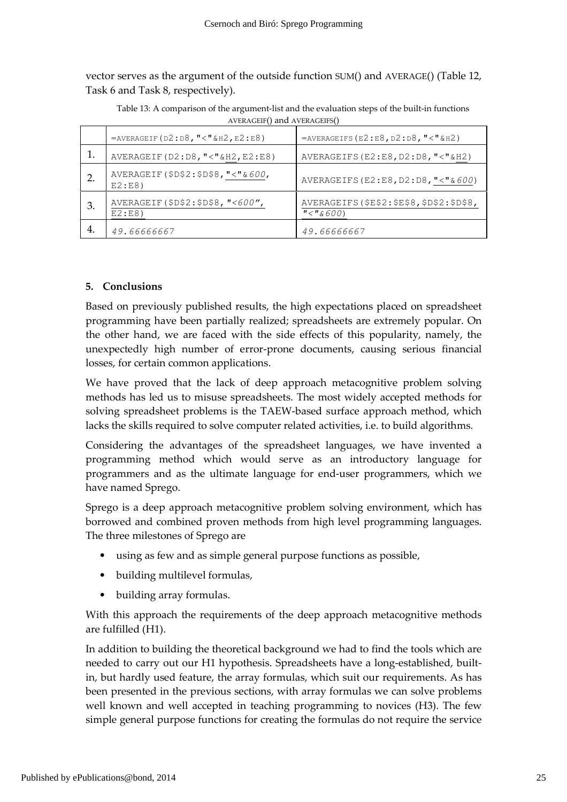vector serves as the argument of the outside function SUM() and AVERAGE() (Table 12, Task 6 and Task 8, respectively).

| AVERAGEIF() and AVERAGEIFS() |                                                 |                                       |  |  |
|------------------------------|-------------------------------------------------|---------------------------------------|--|--|
|                              | $=$ AVERAGEIF (D2:D8, "<"&H2, E2:E8)            | $=$ AVERAGEIFS (E2:E8, D2:D8, "<"&H2) |  |  |
|                              | AVERAGEIF (D2:D8, "<"&H2, E2:E8)                | AVERAGEIFS $(E2:E8, D2:D8, "<"$ &H2)  |  |  |
|                              | AVERAGEIF (\$D\$2:\$D\$8, "<"&600,<br>$E2:EB$ ) | AVERAGEIFS (E2:E8, D2:D8, "<" & 600)  |  |  |
|                              |                                                 |                                       |  |  |

Table 13: A comparison of the argument-list and the evaluation steps of the built-in functions

 $\frac{\pi}{16600}$ 

AVERAGEIFS(\$E\$2:\$E\$8,\$D\$2:\$D\$8,

### 5. Conclusions

E2:E8)

3. AVERAGEIF(\$D\$2:\$D\$8,"<600",

4. 49.66666667 49.6666667

Based on previously published results, the high expectations placed on spreadsheet programming have been partially realized; spreadsheets are extremely popular. On the other hand, we are faced with the side effects of this popularity, namely, the unexpectedly high number of error-prone documents, causing serious financial losses, for certain common applications.

We have proved that the lack of deep approach metacognitive problem solving methods has led us to misuse spreadsheets. The most widely accepted methods for solving spreadsheet problems is the TAEW-based surface approach method, which lacks the skills required to solve computer related activities, i.e. to build algorithms.

Considering the advantages of the spreadsheet languages, we have invented a programming method which would serve as an introductory language for programmers and as the ultimate language for end-user programmers, which we have named Sprego.

Sprego is a deep approach metacognitive problem solving environment, which has borrowed and combined proven methods from high level programming languages. The three milestones of Sprego are

- using as few and as simple general purpose functions as possible,
- building multilevel formulas,
- building array formulas.

With this approach the requirements of the deep approach metacognitive methods are fulfilled (H1).

In addition to building the theoretical background we had to find the tools which are needed to carry out our H1 hypothesis. Spreadsheets have a long-established, builtin, but hardly used feature, the array formulas, which suit our requirements. As has been presented in the previous sections, with array formulas we can solve problems well known and well accepted in teaching programming to novices (H3). The few simple general purpose functions for creating the formulas do not require the service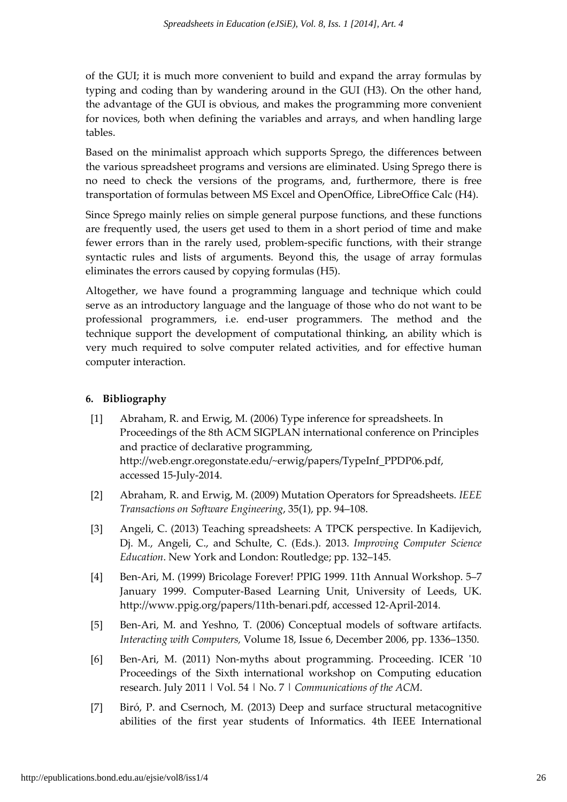of the GUI; it is much more convenient to build and expand the array formulas by typing and coding than by wandering around in the GUI (H3). On the other hand, the advantage of the GUI is obvious, and makes the programming more convenient for novices, both when defining the variables and arrays, and when handling large tables.

Based on the minimalist approach which supports Sprego, the differences between the various spreadsheet programs and versions are eliminated. Using Sprego there is no need to check the versions of the programs, and, furthermore, there is free transportation of formulas between MS Excel and OpenOffice, LibreOffice Calc (H4).

Since Sprego mainly relies on simple general purpose functions, and these functions are frequently used, the users get used to them in a short period of time and make fewer errors than in the rarely used, problem-specific functions, with their strange syntactic rules and lists of arguments. Beyond this, the usage of array formulas eliminates the errors caused by copying formulas (H5).

Altogether, we have found a programming language and technique which could serve as an introductory language and the language of those who do not want to be professional programmers, i.e. end-user programmers. The method and the technique support the development of computational thinking, an ability which is very much required to solve computer related activities, and for effective human computer interaction.

## 6. Bibliography

- [1] Abraham, R. and Erwig, M. (2006) Type inference for spreadsheets. In Proceedings of the 8th ACM SIGPLAN international conference on Principles and practice of declarative programming, http://web.engr.oregonstate.edu/~erwig/papers/TypeInf\_PPDP06.pdf, accessed 15-July-2014.
- [2] Abraham, R. and Erwig, M. (2009) Mutation Operators for Spreadsheets. IEEE Transactions on Software Engineering, 35(1), pp. 94–108.
- [3] Angeli, C. (2013) Teaching spreadsheets: A TPCK perspective. In Kadijevich, Dj. M., Angeli, C., and Schulte, C. (Eds.). 2013. Improving Computer Science Education. New York and London: Routledge; pp. 132–145.
- [4] Ben-Ari, M. (1999) Bricolage Forever! PPIG 1999. 11th Annual Workshop. 5–7 January 1999. Computer-Based Learning Unit, University of Leeds, UK. http://www.ppig.org/papers/11th-benari.pdf, accessed 12-April-2014.
- [5] Ben-Ari, M. and Yeshno, T. (2006) Conceptual models of software artifacts. Interacting with Computers, Volume 18, Issue 6, December 2006, pp. 1336–1350.
- [6] Ben-Ari, M. (2011) Non-myths about programming. Proceeding. ICER '10 Proceedings of the Sixth international workshop on Computing education research. July 2011 | Vol. 54 | No. 7 | Communications of the ACM.
- [7] Biró, P. and Csernoch, M. (2013) Deep and surface structural metacognitive abilities of the first year students of Informatics. 4th IEEE International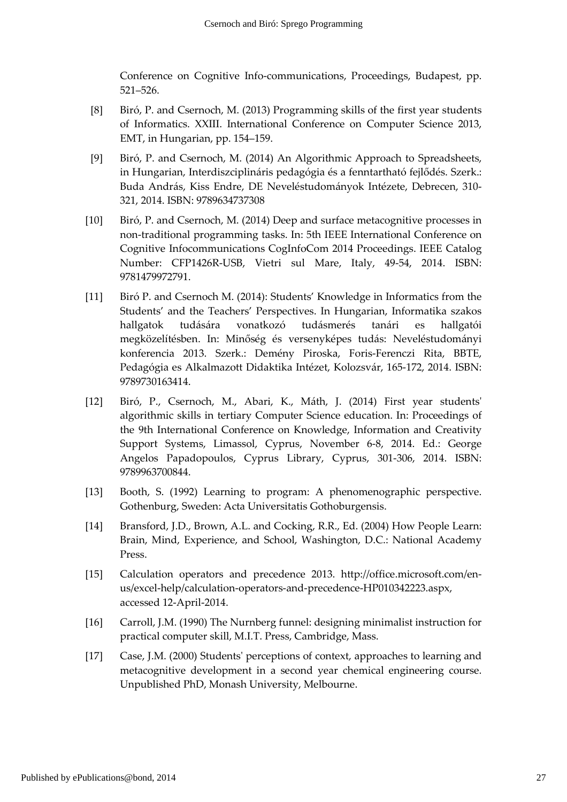Conference on Cognitive Info-communications, Proceedings, Budapest, pp. 521–526.

- [8] Biró, P. and Csernoch, M. (2013) Programming skills of the first year students of Informatics. XXIII. International Conference on Computer Science 2013, EMT, in Hungarian, pp. 154–159.
- [9] Biró, P. and Csernoch, M. (2014) An Algorithmic Approach to Spreadsheets, in Hungarian, Interdiszciplináris pedagógia és a fenntartható fejlődés. Szerk.: Buda András, Kiss Endre, DE Neveléstudományok Intézete, Debrecen, 310- 321, 2014. ISBN: 9789634737308
- [10] Biró, P. and Csernoch, M. (2014) Deep and surface metacognitive processes in non-traditional programming tasks. In: 5th IEEE International Conference on Cognitive Infocommunications CogInfoCom 2014 Proceedings. IEEE Catalog Number: CFP1426R-USB, Vietri sul Mare, Italy, 49-54, 2014. ISBN: 9781479972791.
- [11] Biró P. and Csernoch M. (2014): Students' Knowledge in Informatics from the Students' and the Teachers' Perspectives. In Hungarian, Informatika szakos hallgatok tudására vonatkozó tudásmerés tanári es hallgatói megközelítésben. In: Minőség és versenyképes tudás: Neveléstudományi konferencia 2013. Szerk.: Demény Piroska, Foris-Ferenczi Rita, BBTE, Pedagógia es Alkalmazott Didaktika Intézet, Kolozsvár, 165-172, 2014. ISBN: 9789730163414.
- [12] Biró, P., Csernoch, M., Abari, K., Máth, J. (2014) First year students' algorithmic skills in tertiary Computer Science education. In: Proceedings of the 9th International Conference on Knowledge, Information and Creativity Support Systems, Limassol, Cyprus, November 6-8, 2014. Ed.: George Angelos Papadopoulos, Cyprus Library, Cyprus, 301-306, 2014. ISBN: 9789963700844.
- [13] Booth, S. (1992) Learning to program: A phenomenographic perspective. Gothenburg, Sweden: Acta Universitatis Gothoburgensis.
- [14] Bransford, J.D., Brown, A.L. and Cocking, R.R., Ed. (2004) How People Learn: Brain, Mind, Experience, and School, Washington, D.C.: National Academy Press.
- [15] Calculation operators and precedence 2013. http://office.microsoft.com/enus/excel-help/calculation-operators-and-precedence-HP010342223.aspx, accessed 12-April-2014.
- [16] Carroll, J.M. (1990) The Nurnberg funnel: designing minimalist instruction for practical computer skill, M.I.T. Press, Cambridge, Mass.
- [17] Case, J.M. (2000) Students' perceptions of context, approaches to learning and metacognitive development in a second year chemical engineering course. Unpublished PhD, Monash University, Melbourne.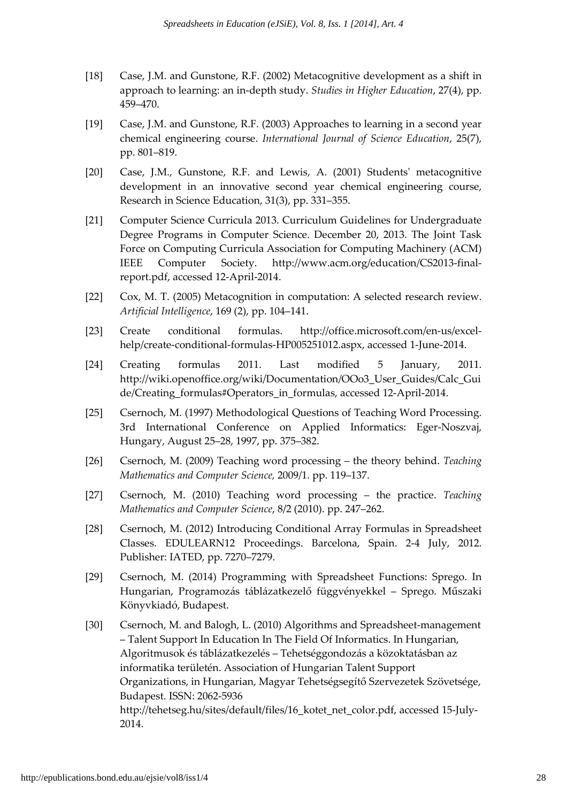- [18] Case, J.M. and Gunstone, R.F. (2002) Metacognitive development as a shift in approach to learning: an in-depth study. Studies in Higher Education, 27(4), pp. 459–470.
- [19] Case, J.M. and Gunstone, R.F. (2003) Approaches to learning in a second year chemical engineering course. International Journal of Science Education, 25(7), pp. 801–819.
- [20] Case, J.M., Gunstone, R.F. and Lewis, A. (2001) Students' metacognitive development in an innovative second year chemical engineering course, Research in Science Education, 31(3), pp. 331–355.
- [21] Computer Science Curricula 2013. Curriculum Guidelines for Undergraduate Degree Programs in Computer Science. December 20, 2013. The Joint Task Force on Computing Curricula Association for Computing Machinery (ACM) IEEE Computer Society. http://www.acm.org/education/CS2013-finalreport.pdf, accessed 12-April-2014.
- [22] Cox, M. T. (2005) Metacognition in computation: A selected research review. Artificial Intelligence, 169 (2), pp. 104–141.
- [23] Create conditional formulas. http://office.microsoft.com/en-us/excelhelp/create-conditional-formulas-HP005251012.aspx, accessed 1-June-2014.
- [24] Creating formulas 2011. Last modified 5 January, 2011. http://wiki.openoffice.org/wiki/Documentation/OOo3\_User\_Guides/Calc\_Gui de/Creating\_formulas#Operators\_in\_formulas, accessed 12-April-2014.
- [25] Csernoch, M. (1997) Methodological Questions of Teaching Word Processing. 3rd International Conference on Applied Informatics: Eger-Noszvaj, Hungary, August 25–28, 1997, pp. 375–382.
- [26] Csernoch, M. (2009) Teaching word processing the theory behind. Teaching Mathematics and Computer Science, 2009/1. pp. 119–137.
- [27] Csernoch, M. (2010) Teaching word processing the practice. Teaching Mathematics and Computer Science, 8/2 (2010). pp. 247–262.
- [28] Csernoch, M. (2012) Introducing Conditional Array Formulas in Spreadsheet Classes. EDULEARN12 Proceedings. Barcelona, Spain. 2-4 July, 2012. Publisher: IATED, pp. 7270–7279.
- [29] Csernoch, M. (2014) Programming with Spreadsheet Functions: Sprego. In Hungarian, Programozás táblázatkezelő függvényekkel – Sprego. Műszaki Könyvkiadó, Budapest.
- [30] Csernoch, M. and Balogh, L. (2010) Algorithms and Spreadsheet-management – Talent Support In Education In The Field Of Informatics. In Hungarian, Algoritmusok és táblázatkezelés – Tehetséggondozás a közoktatásban az informatika területén. Association of Hungarian Talent Support Organizations, in Hungarian, Magyar Tehetségsegítő Szervezetek Szövetsége, Budapest. ISSN: 2062-5936 http://tehetseg.hu/sites/default/files/16\_kotet\_net\_color.pdf, accessed 15-July-2014.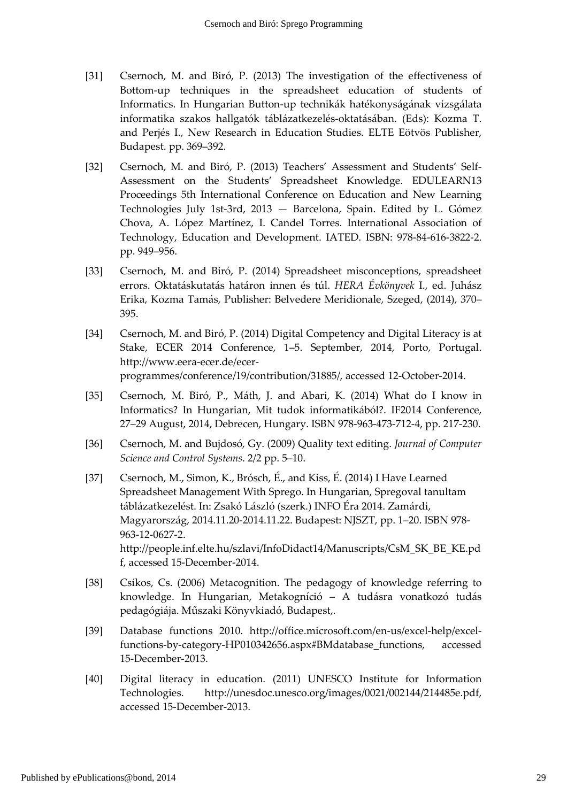- [31] Csernoch, M. and Biró, P. (2013) The investigation of the effectiveness of Bottom-up techniques in the spreadsheet education of students of Informatics. In Hungarian Button-up technikák hatékonyságának vizsgálata informatika szakos hallgatók táblázatkezelés-oktatásában. (Eds): Kozma T. and Perjés I., New Research in Education Studies. ELTE Eötvös Publisher, Budapest. pp. 369–392.
- [32] Csernoch, M. and Biró, P. (2013) Teachers' Assessment and Students' Self-Assessment on the Students' Spreadsheet Knowledge. EDULEARN13 Proceedings 5th International Conference on Education and New Learning Technologies July 1st-3rd, 2013 — Barcelona, Spain. Edited by L. Gómez Chova, A. López Martínez, I. Candel Torres. International Association of Technology, Education and Development. IATED. ISBN: 978-84-616-3822-2. pp. 949–956.
- [33] Csernoch, M. and Biró, P. (2014) Spreadsheet misconceptions, spreadsheet errors. Oktatáskutatás határon innen és túl. HERA Évkönyvek I., ed. Juhász Erika, Kozma Tamás, Publisher: Belvedere Meridionale, Szeged, (2014), 370– 395.
- [34] Csernoch, M. and Biró, P. (2014) Digital Competency and Digital Literacy is at Stake, ECER 2014 Conference, 1–5. September, 2014, Porto, Portugal. http://www.eera-ecer.de/ecerprogrammes/conference/19/contribution/31885/, accessed 12-October-2014.
- [35] Csernoch, M. Biró, P., Máth, J. and Abari, K. (2014) What do I know in Informatics? In Hungarian, Mit tudok informatikából?. IF2014 Conference, 27–29 August, 2014, Debrecen, Hungary. ISBN 978-963-473-712-4, pp. 217-230.
- [36] Csernoch, M. and Bujdosó, Gy. (2009) Quality text editing. Journal of Computer Science and Control Systems. 2/2 pp. 5–10.
- [37] Csernoch, M., Simon, K., Brósch, É., and Kiss, É. (2014) I Have Learned Spreadsheet Management With Sprego. In Hungarian, Spregoval tanultam táblázatkezelést. In: Zsakó László (szerk.) INFO Éra 2014. Zamárdi, Magyarország, 2014.11.20-2014.11.22. Budapest: NJSZT, pp. 1–20. ISBN 978- 963-12-0627-2. http://people.inf.elte.hu/szlavi/InfoDidact14/Manuscripts/CsM\_SK\_BE\_KE.pd f, accessed 15-December-2014.
- [38] Csíkos, Cs. (2006) Metacognition. The pedagogy of knowledge referring to knowledge. In Hungarian, Metakogníció – A tudásra vonatkozó tudás pedagógiája. Műszaki Könyvkiadó, Budapest,.
- [39] Database functions 2010. http://office.microsoft.com/en-us/excel-help/excelfunctions-by-category-HP010342656.aspx#BMdatabase\_functions, accessed 15-December-2013.
- [40] Digital literacy in education. (2011) UNESCO Institute for Information Technologies. http://unesdoc.unesco.org/images/0021/002144/214485e.pdf, accessed 15-December-2013.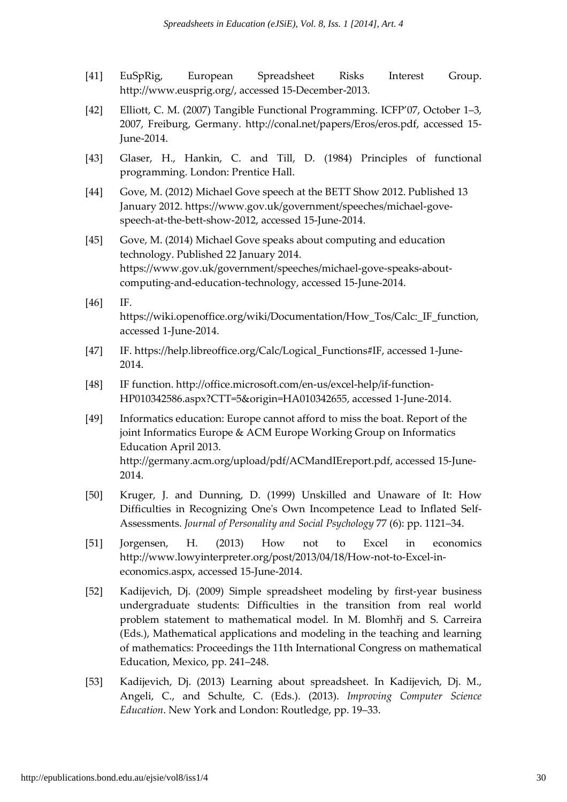- [41] EuSpRig, European Spreadsheet Risks Interest Group. http://www.eusprig.org/, accessed 15-December-2013.
- [42] Elliott, C. M. (2007) Tangible Functional Programming. ICFP'07, October 1–3, 2007, Freiburg, Germany. http://conal.net/papers/Eros/eros.pdf, accessed 15- June-2014.
- [43] Glaser, H., Hankin, C. and Till, D. (1984) Principles of functional programming. London: Prentice Hall.
- [44] Gove, M. (2012) Michael Gove speech at the BETT Show 2012. Published 13 January 2012. https://www.gov.uk/government/speeches/michael-govespeech-at-the-bett-show-2012, accessed 15-June-2014.
- [45] Gove, M. (2014) Michael Gove speaks about computing and education technology. Published 22 January 2014. https://www.gov.uk/government/speeches/michael-gove-speaks-aboutcomputing-and-education-technology, accessed 15-June-2014.
- [46] IF. https://wiki.openoffice.org/wiki/Documentation/How\_Tos/Calc:\_IF\_function, accessed 1-June-2014.
- [47] IF. https://help.libreoffice.org/Calc/Logical\_Functions#IF, accessed 1-June-2014.
- [48] IF function. http://office.microsoft.com/en-us/excel-help/if-function-HP010342586.aspx?CTT=5&origin=HA010342655, accessed 1-June-2014.
- [49] Informatics education: Europe cannot afford to miss the boat. Report of the joint Informatics Europe & ACM Europe Working Group on Informatics Education April 2013. http://germany.acm.org/upload/pdf/ACMandIEreport.pdf, accessed 15-June-2014.
- [50] Kruger, J. and Dunning, D. (1999) Unskilled and Unaware of It: How Difficulties in Recognizing One's Own Incompetence Lead to Inflated Self-Assessments. Journal of Personality and Social Psychology 77 (6): pp. 1121–34.
- [51] Jorgensen, H. (2013) How not to Excel in economics http://www.lowyinterpreter.org/post/2013/04/18/How-not-to-Excel-ineconomics.aspx, accessed 15-June-2014.
- [52] Kadijevich, Dj. (2009) Simple spreadsheet modeling by first-year business undergraduate students: Difficulties in the transition from real world problem statement to mathematical model. In M. Blomhřj and S. Carreira (Eds.), Mathematical applications and modeling in the teaching and learning of mathematics: Proceedings the 11th International Congress on mathematical Education, Mexico, pp. 241–248.
- [53] Kadijevich, Dj. (2013) Learning about spreadsheet. In Kadijevich, Dj. M., Angeli, C., and Schulte, C. (Eds.). (2013). Improving Computer Science Education. New York and London: Routledge, pp. 19–33.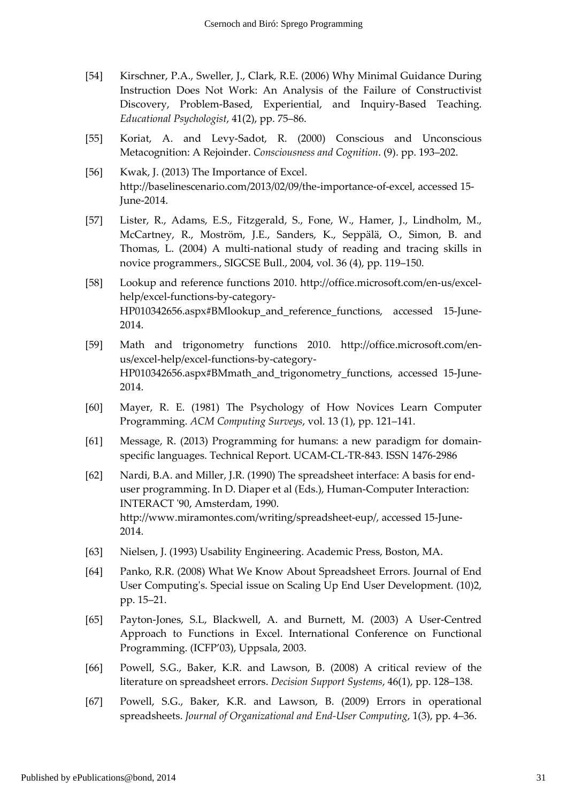- [54] Kirschner, P.A., Sweller, J., Clark, R.E. (2006) Why Minimal Guidance During Instruction Does Not Work: An Analysis of the Failure of Constructivist Discovery, Problem-Based, Experiential, and Inquiry-Based Teaching. Educational Psychologist, 41(2), pp. 75–86.
- [55] Koriat, A. and Levy-Sadot, R. (2000) Conscious and Unconscious Metacognition: A Rejoinder. Consciousness and Cognition. (9). pp. 193–202.
- [56] Kwak, J. (2013) The Importance of Excel. http://baselinescenario.com/2013/02/09/the-importance-of-excel, accessed 15- June-2014.
- [57] Lister, R., Adams, E.S., Fitzgerald, S., Fone, W., Hamer, J., Lindholm, M., McCartney, R., Moström, J.E., Sanders, K., Seppälä, O., Simon, B. and Thomas, L. (2004) A multi-national study of reading and tracing skills in novice programmers., SIGCSE Bull., 2004, vol. 36 (4), pp. 119–150.
- [58] Lookup and reference functions 2010. http://office.microsoft.com/en-us/excelhelp/excel-functions-by-category-HP010342656.aspx#BMlookup and reference functions, accessed 15-June-2014.
- [59] Math and trigonometry functions 2010. http://office.microsoft.com/enus/excel-help/excel-functions-by-category-HP010342656.aspx#BMmath\_and\_trigonometry\_functions, accessed 15-June-2014.
- [60] Mayer, R. E. (1981) The Psychology of How Novices Learn Computer Programming. ACM Computing Surveys, vol. 13 (1), pp. 121–141.
- [61] Message, R. (2013) Programming for humans: a new paradigm for domainspecific languages. Technical Report. UCAM-CL-TR-843. ISSN 1476-2986
- [62] Nardi, B.A. and Miller, J.R. (1990) The spreadsheet interface: A basis for enduser programming. In D. Diaper et al (Eds.), Human-Computer Interaction: INTERACT '90, Amsterdam, 1990. http://www.miramontes.com/writing/spreadsheet-eup/, accessed 15-June-2014.
- [63] Nielsen, J. (1993) Usability Engineering. Academic Press, Boston, MA.
- [64] Panko, R.R. (2008) What We Know About Spreadsheet Errors. Journal of End User Computing's. Special issue on Scaling Up End User Development. (10)2, pp. 15–21.
- [65] Payton-Jones, S.L, Blackwell, A. and Burnett, M. (2003) A User-Centred Approach to Functions in Excel. International Conference on Functional Programming. (ICFP'03), Uppsala, 2003.
- [66] Powell, S.G., Baker, K.R. and Lawson, B. (2008) A critical review of the literature on spreadsheet errors. Decision Support Systems, 46(1), pp. 128–138.
- [67] Powell, S.G., Baker, K.R. and Lawson, B. (2009) Errors in operational spreadsheets. Journal of Organizational and End-User Computing, 1(3), pp. 4–36.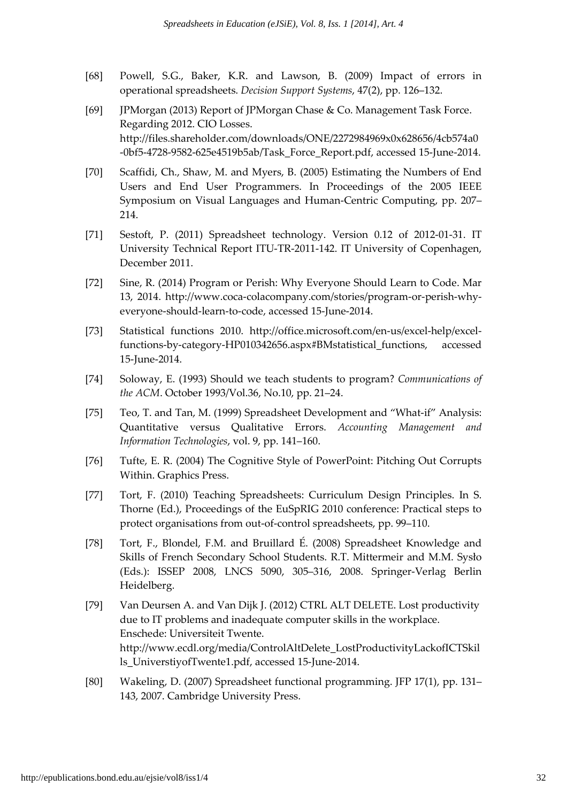- [68] Powell, S.G., Baker, K.R. and Lawson, B. (2009) Impact of errors in operational spreadsheets. Decision Support Systems, 47(2), pp. 126–132.
- [69] JPMorgan (2013) Report of JPMorgan Chase & Co. Management Task Force. Regarding 2012. CIO Losses. http://files.shareholder.com/downloads/ONE/2272984969x0x628656/4cb574a0 -0bf5-4728-9582-625e4519b5ab/Task\_Force\_Report.pdf, accessed 15-June-2014.
- [70] Scaffidi, Ch., Shaw, M. and Myers, B. (2005) Estimating the Numbers of End Users and End User Programmers. In Proceedings of the 2005 IEEE Symposium on Visual Languages and Human-Centric Computing, pp. 207– 214.
- [71] Sestoft, P. (2011) Spreadsheet technology. Version 0.12 of 2012-01-31. IT University Technical Report ITU-TR-2011-142. IT University of Copenhagen, December 2011.
- [72] Sine, R. (2014) Program or Perish: Why Everyone Should Learn to Code. Mar 13, 2014. http://www.coca-colacompany.com/stories/program-or-perish-whyeveryone-should-learn-to-code, accessed 15-June-2014.
- [73] Statistical functions 2010. http://office.microsoft.com/en-us/excel-help/excelfunctions-by-category-HP010342656.aspx#BMstatistical\_functions, accessed 15-June-2014.
- [74] Soloway, E. (1993) Should we teach students to program? Communications of the ACM. October 1993/Vol.36, No.10, pp. 21–24.
- [75] Teo, T. and Tan, M. (1999) Spreadsheet Development and "What-if" Analysis: Quantitative versus Qualitative Errors. Accounting Management and Information Technologies, vol. 9, pp. 141–160.
- [76] Tufte, E. R. (2004) The Cognitive Style of PowerPoint: Pitching Out Corrupts Within. Graphics Press.
- [77] Tort, F. (2010) Teaching Spreadsheets: Curriculum Design Principles. In S. Thorne (Ed.), Proceedings of the EuSpRIG 2010 conference: Practical steps to protect organisations from out-of-control spreadsheets, pp. 99–110.
- [78] Tort, F., Blondel, F.M. and Bruillard É. (2008) Spreadsheet Knowledge and Skills of French Secondary School Students. R.T. Mittermeir and M.M. Sysło (Eds.): ISSEP 2008, LNCS 5090, 305–316, 2008. Springer-Verlag Berlin Heidelberg.
- [79] Van Deursen A. and Van Dijk J. (2012) CTRL ALT DELETE. Lost productivity due to IT problems and inadequate computer skills in the workplace. Enschede: Universiteit Twente. http://www.ecdl.org/media/ControlAltDelete\_LostProductivityLackofICTSkil ls\_UniverstiyofTwente1.pdf, accessed 15-June-2014.
- [80] Wakeling, D. (2007) Spreadsheet functional programming. JFP 17(1), pp. 131– 143, 2007. Cambridge University Press.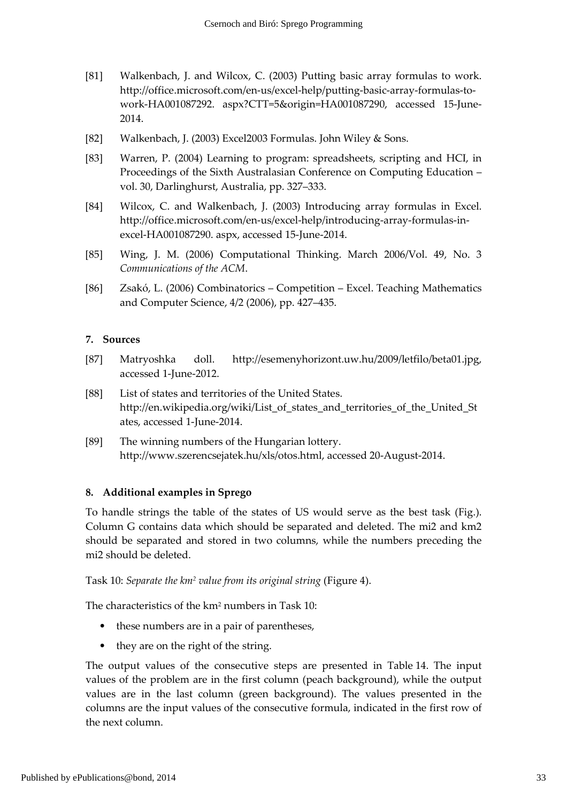- [81] Walkenbach, J. and Wilcox, C. (2003) Putting basic array formulas to work. http://office.microsoft.com/en-us/excel-help/putting-basic-array-formulas-towork-HA001087292. aspx?CTT=5&origin=HA001087290, accessed 15-June-2014.
- [82] Walkenbach, J. (2003) Excel2003 Formulas. John Wiley & Sons.
- [83] Warren, P. (2004) Learning to program: spreadsheets, scripting and HCI, in Proceedings of the Sixth Australasian Conference on Computing Education – vol. 30, Darlinghurst, Australia, pp. 327–333.
- [84] Wilcox, C. and Walkenbach, J. (2003) Introducing array formulas in Excel. http://office.microsoft.com/en-us/excel-help/introducing-array-formulas-inexcel-HA001087290. aspx, accessed 15-June-2014.
- [85] Wing, J. M. (2006) Computational Thinking. March 2006/Vol. 49, No. 3 Communications of the ACM.
- [86] Zsakó, L. (2006) Combinatorics Competition Excel. Teaching Mathematics and Computer Science, 4/2 (2006), pp. 427–435.

#### 7. Sources

- [87] Matryoshka doll. http://esemenyhorizont.uw.hu/2009/letfilo/beta01.jpg, accessed 1-June-2012.
- [88] List of states and territories of the United States. http://en.wikipedia.org/wiki/List\_of\_states\_and\_territories\_of\_the\_United\_St ates, accessed 1-June-2014.
- [89] The winning numbers of the Hungarian lottery. http://www.szerencsejatek.hu/xls/otos.html, accessed 20-August-2014.

#### 8. Additional examples in Sprego

To handle strings the table of the states of US would serve as the best task (Fig.). Column G contains data which should be separated and deleted. The mi2 and km2 should be separated and stored in two columns, while the numbers preceding the mi2 should be deleted.

Task 10: Separate the km<sup>2</sup> value from its original string (Figure 4).

The characteristics of the km<sup>2</sup> numbers in Task 10:

- these numbers are in a pair of parentheses,
- they are on the right of the string.

The output values of the consecutive steps are presented in Table 14. The input values of the problem are in the first column (peach background), while the output values are in the last column (green background). The values presented in the columns are the input values of the consecutive formula, indicated in the first row of the next column.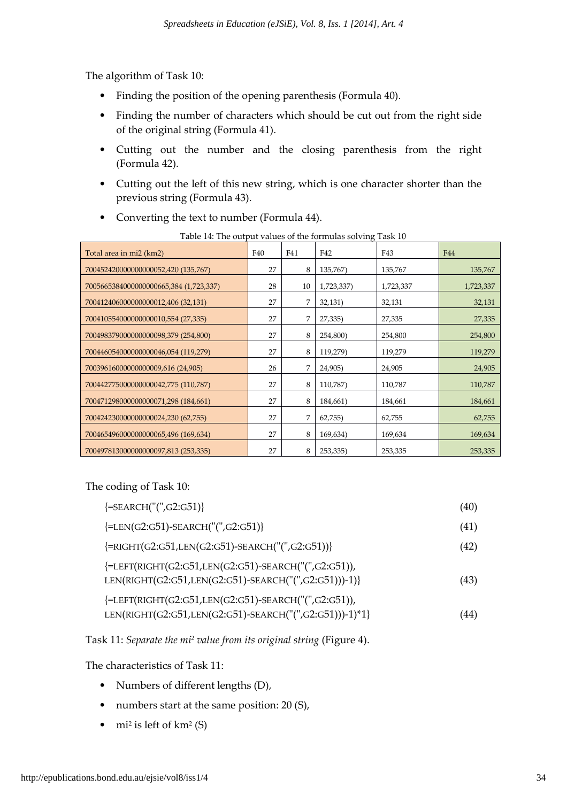The algorithm of Task 10:

- Finding the position of the opening parenthesis (Formula 40).
- Finding the number of characters which should be cut out from the right side of the original string (Formula 41).
- Cutting out the number and the closing parenthesis from the right (Formula 42).
- Cutting out the left of this new string, which is one character shorter than the previous string (Formula 43).
- Converting the text to number (Formula 44).

| where I is the output values of the formulas softling<br>Total area in mi2 (km2) | F40 | F41 | F42        | F43       | F44       |
|----------------------------------------------------------------------------------|-----|-----|------------|-----------|-----------|
| 700452420000000000052,420 (135,767)                                              | 27  | 8   | 135,767)   | 135,767   | 135,767   |
| 7005665384000000000665,384 (1,723,337)                                           | 28  | 10  | 1,723,337) | 1,723,337 | 1,723,337 |
| 700412406000000000012,406 (32,131)                                               | 27  | 7   | 32,131)    | 32,131    | 32,131    |
| 7004105540000000000010,554 (27,335)                                              | 27  | 7   | 27,335)    | 27,335    | 27,335    |
| 700498379000000000098,379 (254,800)                                              | 27  | 8   | 254,800)   | 254,800   | 254,800   |
| 700446054000000000046,054 (119,279)                                              | 27  | 8   | 119,279)   | 119,279   | 119,279   |
| 70039616000000000009,616 (24,905)                                                | 26  | 7   | 24,905)    | 24,905    | 24,905    |
| 700442775000000000042,775 (110,787)                                              | 27  | 8   | 110,787)   | 110,787   | 110,787   |
| 700471298000000000071,298 (184,661)                                              | 27  | 8   | 184,661)   | 184,661   | 184,661   |
| 700424230000000000024,230 (62,755)                                               | 27  | 7   | 62,755     | 62,755    | 62,755    |
| 700465496000000000065,496 (169,634)                                              | 27  | 8   | 169,634)   | 169,634   | 169,634   |
| 700497813000000000097,813 (253,335)                                              | 27  | 8   | 253,335)   | 253,335   | 253,335   |

Table 14: The output values of the formulas solving Task 10

The coding of Task 10:

| ${=\text{SEARCH}("", G2:G51)}$                                                                                  | (40) |
|-----------------------------------------------------------------------------------------------------------------|------|
| ${EEN(G2:G51)-SEARCH("("G2:G51)}$                                                                               | (41) |
| $\{ = \text{RIGHT}(G2:G51, \text{LEN}(G2:G51) - \text{SEARCH}("", G2:G51)) \}$                                  | (42) |
| {=LEFT(RIGHT(G2:G51,LEN(G2:G51)-SEARCH("(",G2:G51)),<br>LEN(RIGHT(G2:G51,LEN(G2:G51)-SEARCH("(",G2:G51)))-1)}   | (43) |
| {=LEFT(RIGHT(G2:G51,LEN(G2:G51)-SEARCH("(",G2:G51)),<br>LEN(RIGHT(G2:G51,LEN(G2:G51)-SEARCH("(",G2:G51)))-1)*1} | (44) |

Task 11: Separate the mi<sup>2</sup> value from its original string (Figure 4).

The characteristics of Task 11:

- Numbers of different lengths (D),
- numbers start at the same position: 20 (S),
- $mi^2$  is left of km<sup>2</sup> (S)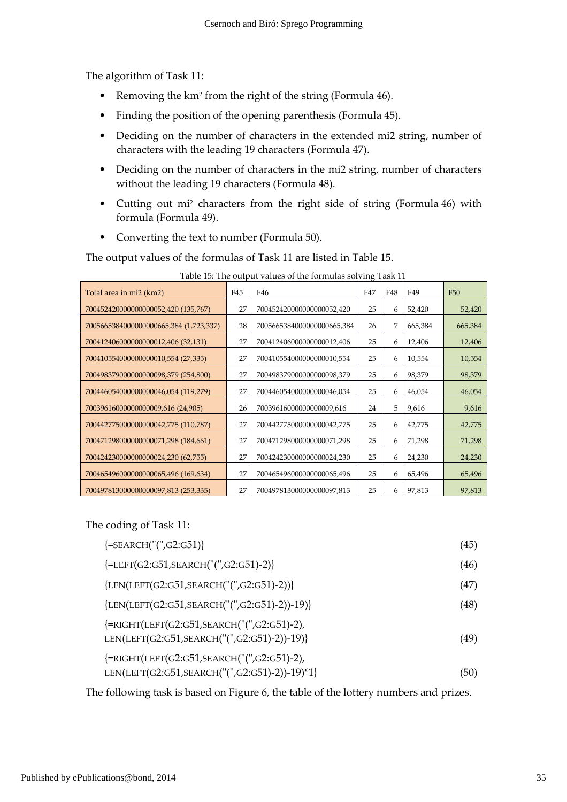The algorithm of Task 11:

- Removing the km<sup>2</sup> from the right of the string (Formula 46).
- Finding the position of the opening parenthesis (Formula 45).
- Deciding on the number of characters in the extended mi2 string, number of characters with the leading 19 characters (Formula 47).
- Deciding on the number of characters in the mi2 string, number of characters without the leading 19 characters (Formula 48).
- Cutting out mi<sup>2</sup> characters from the right side of string (Formula 46) with formula (Formula 49).
- Converting the text to number (Formula 50).

The output values of the formulas of Task 11 are listed in Table 15.

| Total area in mi2 (km2)               | F45 | F46                        | F47 | F48 | F49     | <b>F50</b> |
|---------------------------------------|-----|----------------------------|-----|-----|---------|------------|
| 700452420000000000052,420 (135,767)   | 27  | 700452420000000000052,420  | 25  | 6   | 52,420  | 52,420     |
| 700566538400000000665,384 (1,723,337) | 28  | 7005665384000000000665,384 | 26  | 7   | 665,384 | 665,384    |
| 700412406000000000012,406 (32,131)    | 27  | 700412406000000000012,406  | 25  | 6   | 12,406  | 12,406     |
| 700410554000000000010,554 (27,335)    | 27  | 700410554000000000010,554  | 25  | 6   | 10,554  | 10,554     |
| 700498379000000000098,379 (254,800)   | 27  | 700498379000000000098,379  | 25  | 6   | 98,379  | 98,379     |
| 700446054000000000046,054 (119,279)   | 27  | 700446054000000000046,054  | 25  | 6   | 46,054  | 46,054     |
| 70039616000000000009,616 (24,905)     | 26  | 70039616000000000009,616   | 24  | 5   | 9,616   | 9,616      |
| 700442775000000000042,775 (110,787)   | 27  | 700442775000000000042,775  | 25  | 6   | 42,775  | 42,775     |
| 700471298000000000071,298 (184,661)   | 27  | 700471298000000000071,298  | 25  | 6   | 71,298  | 71,298     |
| 700424230000000000024,230 (62,755)    | 27  | 700424230000000000024,230  | 25  | 6   | 24,230  | 24,230     |
| 700465496000000000065,496 (169,634)   | 27  | 700465496000000000065,496  | 25  | 6   | 65,496  | 65,496     |
| 700497813000000000097,813 (253,335)   | 27  | 700497813000000000097,813  | 25  | 6   | 97,813  | 97,813     |

Table 15: The output values of the formulas solving Task 11

The coding of Task 11:

| ${=\text{SEARCH}("", G2 : G51)}$                                                            | (45) |
|---------------------------------------------------------------------------------------------|------|
| ${EET(G2:G51,SEARCH("("G2:G51)-2)}$                                                         | (46) |
| ${LEN(LEFT(G2:G51,SEARCH("("G2:G51)-2))}$                                                   | (47) |
| ${LEN(LEFT(G2:G51,SEARCH("("G2:G51)-2))-19)}$                                               | (48) |
| {=RIGHT(LEFT(G2:G51,SEARCH("(",G2:G51)-2),<br>LEN(LEFT(G2:G51,SEARCH("(",G2:G51)-2))-19)}   | (49) |
| {=RIGHT(LEFT(G2:G51,SEARCH("(",G2:G51)-2),<br>LEN(LEFT(G2:G51,SEARCH("(",G2:G51)-2))-19)*1} | (50) |

The following task is based on Figure 6, the table of the lottery numbers and prizes.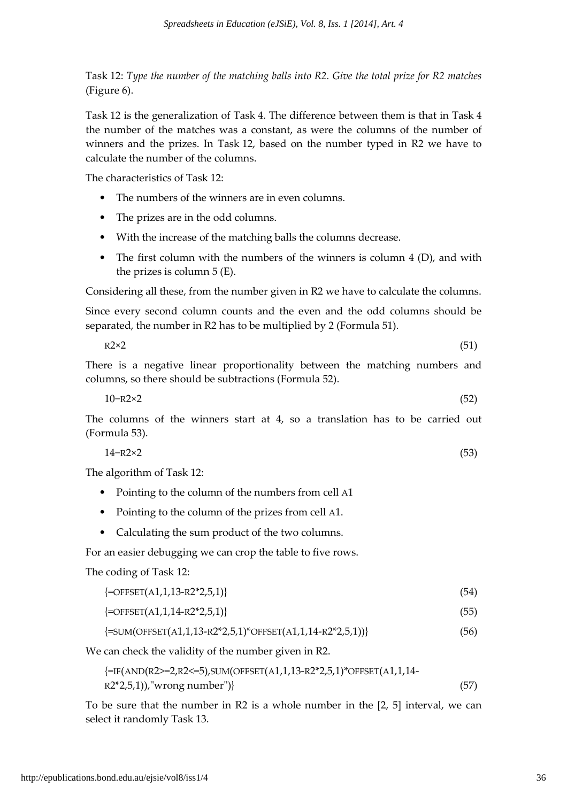Task 12: Type the number of the matching balls into R2. Give the total prize for R2 matches (Figure 6).

Task 12 is the generalization of Task 4. The difference between them is that in Task 4 the number of the matches was a constant, as were the columns of the number of winners and the prizes. In Task 12, based on the number typed in R2 we have to calculate the number of the columns.

The characteristics of Task 12:

- The numbers of the winners are in even columns.
- The prizes are in the odd columns.
- With the increase of the matching balls the columns decrease.
- The first column with the numbers of the winners is column 4 (D), and with the prizes is column 5 (E).

Considering all these, from the number given in R2 we have to calculate the columns.

Since every second column counts and the even and the odd columns should be separated, the number in R2 has to be multiplied by 2 (Formula 51).

$$
R2 \times 2 \tag{51}
$$

There is a negative linear proportionality between the matching numbers and columns, so there should be subtractions (Formula 52).

10−R2×2 (52)

The columns of the winners start at 4, so a translation has to be carried out (Formula 53).

$$
14 - R2 \times 2 \tag{53}
$$

The algorithm of Task 12:

- Pointing to the column of the numbers from cell A1
- Pointing to the column of the prizes from cell A1.
- Calculating the sum product of the two columns.

For an easier debugging we can crop the table to five rows.

The coding of Task 12:

| $\left\{=\text{OFFSET}(A1,1,13-R2*2,5,1)\right\}$ | (54) |
|---------------------------------------------------|------|
|---------------------------------------------------|------|

| $\left\{=\text{OFFSET}(A1,1,14-R2*2,5,1)\right\}$ |  |
|---------------------------------------------------|--|
|                                                   |  |

 $\{\text{=SUM(OFFSET(A1,1,13-R2*2,5,1)*OFFSET(A1,1,14-R2*2,5,1))}\}\$  (56)

We can check the validity of the number given in R2.

```
{=IF(AND(R2>=2,R2<=5),SUM(OFFSET(A1,1,13-R2*2,5,1)*OFFSET(A1,1,14-
R2*2,5,1),"wrong number")} (57)
```
To be sure that the number in R2 is a whole number in the [2, 5] interval, we can select it randomly Task 13.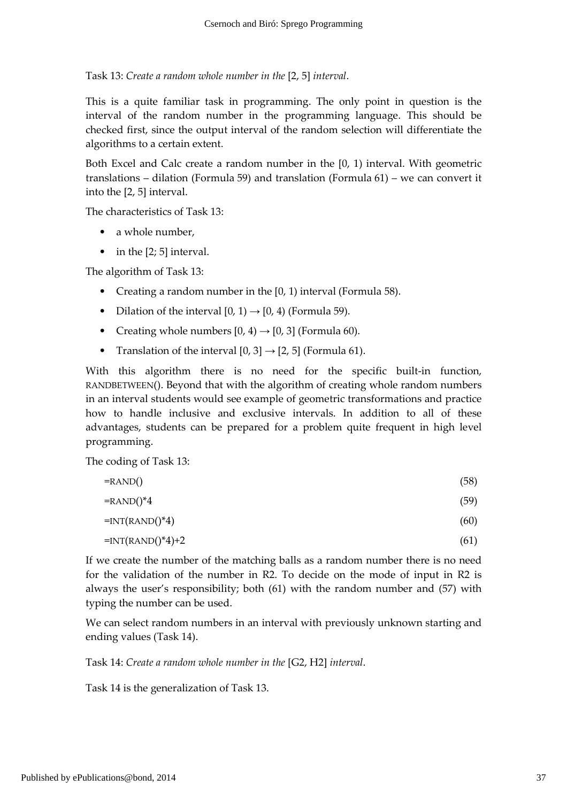Task 13: Create a random whole number in the [2, 5] interval.

This is a quite familiar task in programming. The only point in question is the interval of the random number in the programming language. This should be checked first, since the output interval of the random selection will differentiate the algorithms to a certain extent.

Both Excel and Calc create a random number in the [0, 1) interval. With geometric translations – dilation (Formula 59) and translation (Formula 61) – we can convert it into the [2, 5] interval.

The characteristics of Task 13:

- a whole number,
- in the [2; 5] interval.

The algorithm of Task 13:

- Creating a random number in the [0, 1) interval (Formula 58).
- Dilation of the interval  $[0, 1) \rightarrow [0, 4)$  (Formula 59).
- Creating whole numbers  $[0, 4) \rightarrow [0, 3]$  (Formula 60).
- Translation of the interval  $[0, 3] \rightarrow [2, 5]$  (Formula 61).

With this algorithm there is no need for the specific built-in function, RANDBETWEEN(). Beyond that with the algorithm of creating whole random numbers in an interval students would see example of geometric transformations and practice how to handle inclusive and exclusive intervals. In addition to all of these advantages, students can be prepared for a problem quite frequent in high level programming.

The coding of Task 13:

| (58) |
|------|
| (59) |
| (60) |
| (61) |
|      |

If we create the number of the matching balls as a random number there is no need for the validation of the number in R2. To decide on the mode of input in R2 is always the user's responsibility; both (61) with the random number and (57) with typing the number can be used.

We can select random numbers in an interval with previously unknown starting and ending values (Task 14).

Task 14: Create a random whole number in the [G2, H2] interval.

Task 14 is the generalization of Task 13.